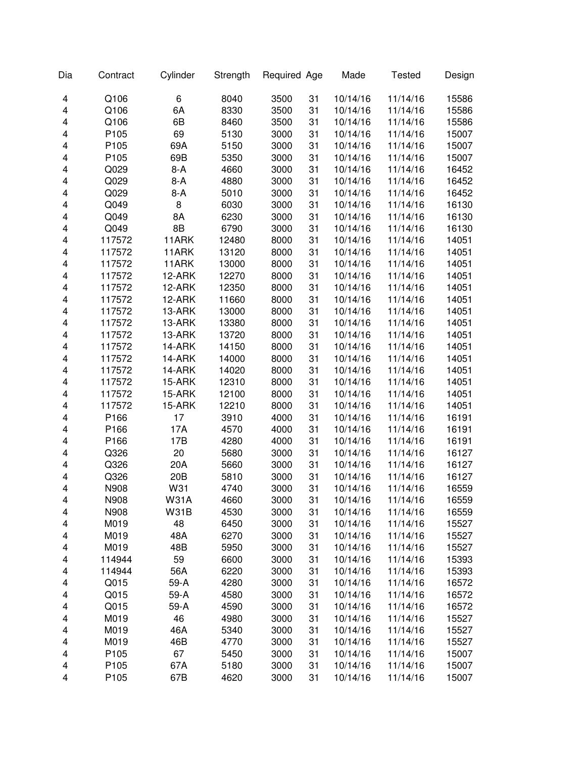| Dia                     | Contract | Cylinder        | Strength | Required Age |    | Made     | <b>Tested</b> | Design |
|-------------------------|----------|-----------------|----------|--------------|----|----------|---------------|--------|
| 4                       | Q106     | 6               | 8040     | 3500         | 31 | 10/14/16 | 11/14/16      | 15586  |
| 4                       | Q106     | 6A              | 8330     | 3500         | 31 | 10/14/16 | 11/14/16      | 15586  |
| 4                       | Q106     | 6B              | 8460     | 3500         | 31 | 10/14/16 | 11/14/16      | 15586  |
| 4                       | P105     | 69              | 5130     | 3000         | 31 | 10/14/16 | 11/14/16      | 15007  |
| 4                       | P105     | 69A             | 5150     | 3000         | 31 | 10/14/16 | 11/14/16      | 15007  |
| 4                       | P105     | 69B             | 5350     | 3000         | 31 | 10/14/16 | 11/14/16      | 15007  |
| 4                       | Q029     | $8-A$           | 4660     | 3000         | 31 | 10/14/16 | 11/14/16      | 16452  |
| 4                       | Q029     | $8-A$           | 4880     | 3000         | 31 | 10/14/16 | 11/14/16      | 16452  |
| 4                       | Q029     | $8-A$           | 5010     | 3000         | 31 | 10/14/16 | 11/14/16      | 16452  |
| 4                       | Q049     | 8               | 6030     | 3000         | 31 | 10/14/16 | 11/14/16      | 16130  |
| 4                       | Q049     | 8A              | 6230     | 3000         | 31 | 10/14/16 | 11/14/16      | 16130  |
| 4                       | Q049     | 8B              | 6790     | 3000         | 31 | 10/14/16 | 11/14/16      | 16130  |
| 4                       | 117572   | 11ARK           | 12480    | 8000         | 31 | 10/14/16 | 11/14/16      | 14051  |
| 4                       | 117572   | 11ARK           | 13120    | 8000         | 31 | 10/14/16 | 11/14/16      | 14051  |
| $\overline{\mathbf{4}}$ | 117572   | 11ARK           | 13000    | 8000         | 31 | 10/14/16 | 11/14/16      | 14051  |
| $\overline{\mathbf{4}}$ | 117572   | 12-ARK          | 12270    | 8000         | 31 | 10/14/16 | 11/14/16      | 14051  |
| $\overline{\mathbf{4}}$ | 117572   | 12-ARK          | 12350    | 8000         | 31 | 10/14/16 | 11/14/16      | 14051  |
| 4                       | 117572   | 12-ARK          | 11660    | 8000         | 31 | 10/14/16 | 11/14/16      | 14051  |
| $\overline{\mathbf{4}}$ | 117572   | 13-ARK          | 13000    | 8000         | 31 | 10/14/16 | 11/14/16      | 14051  |
| 4                       | 117572   | 13-ARK          | 13380    | 8000         | 31 | 10/14/16 | 11/14/16      | 14051  |
| 4                       | 117572   | 13-ARK          | 13720    | 8000         | 31 | 10/14/16 | 11/14/16      | 14051  |
| 4                       | 117572   | 14-ARK          | 14150    | 8000         | 31 | 10/14/16 | 11/14/16      | 14051  |
| 4                       | 117572   | 14-ARK          | 14000    | 8000         | 31 | 10/14/16 | 11/14/16      | 14051  |
| 4                       | 117572   | 14-ARK          | 14020    | 8000         | 31 | 10/14/16 | 11/14/16      | 14051  |
| 4                       | 117572   | 15-ARK          | 12310    | 8000         | 31 | 10/14/16 | 11/14/16      | 14051  |
| 4                       | 117572   | 15-ARK          | 12100    | 8000         | 31 | 10/14/16 | 11/14/16      | 14051  |
| 4                       | 117572   | 15-ARK          | 12210    | 8000         | 31 | 10/14/16 | 11/14/16      | 14051  |
| 4                       | P166     | 17              | 3910     | 4000         | 31 | 10/14/16 | 11/14/16      | 16191  |
| 4                       | P166     | 17A             | 4570     | 4000         | 31 | 10/14/16 | 11/14/16      | 16191  |
| 4                       | P166     | 17B             | 4280     | 4000         | 31 | 10/14/16 | 11/14/16      | 16191  |
| 4                       | Q326     | 20              | 5680     | 3000         | 31 | 10/14/16 | 11/14/16      | 16127  |
| $\overline{\mathbf{4}}$ | Q326     | 20A             | 5660     | 3000         | 31 | 10/14/16 | 11/14/16      | 16127  |
| 4                       | Q326     | 20 <sub>B</sub> | 5810     | 3000         | 31 | 10/14/16 | 11/14/16      | 16127  |
| 4                       | N908     | W31             | 4740     | 3000         | 31 | 10/14/16 | 11/14/16      | 16559  |
| 4                       | N908     | <b>W31A</b>     | 4660     | 3000         | 31 | 10/14/16 | 11/14/16      | 16559  |
| 4                       | N908     | <b>W31B</b>     | 4530     | 3000         | 31 | 10/14/16 | 11/14/16      | 16559  |
| 4                       | M019     | 48              | 6450     | 3000         | 31 | 10/14/16 | 11/14/16      | 15527  |
| 4                       | M019     | 48A             | 6270     | 3000         | 31 | 10/14/16 | 11/14/16      | 15527  |
| 4                       | M019     | 48B             | 5950     | 3000         | 31 | 10/14/16 | 11/14/16      | 15527  |
| 4                       | 114944   | 59              | 6600     | 3000         | 31 | 10/14/16 | 11/14/16      | 15393  |
| 4                       | 114944   | 56A             | 6220     | 3000         | 31 | 10/14/16 | 11/14/16      | 15393  |
| 4                       | Q015     | 59-A            | 4280     | 3000         | 31 | 10/14/16 | 11/14/16      | 16572  |
| 4                       | Q015     | 59-A            | 4580     | 3000         | 31 | 10/14/16 | 11/14/16      | 16572  |
| 4                       | Q015     | 59-A            | 4590     | 3000         | 31 | 10/14/16 | 11/14/16      | 16572  |
| 4                       | M019     | 46              | 4980     | 3000         | 31 | 10/14/16 | 11/14/16      | 15527  |
| 4                       | M019     | 46A             | 5340     | 3000         | 31 | 10/14/16 | 11/14/16      | 15527  |
| 4                       | M019     | 46B             | 4770     | 3000         | 31 | 10/14/16 | 11/14/16      | 15527  |
| 4                       | P105     | 67              | 5450     | 3000         | 31 | 10/14/16 | 11/14/16      | 15007  |
| 4                       | P105     | 67A             | 5180     | 3000         | 31 | 10/14/16 | 11/14/16      | 15007  |
| 4                       | P105     | 67B             | 4620     | 3000         | 31 | 10/14/16 | 11/14/16      | 15007  |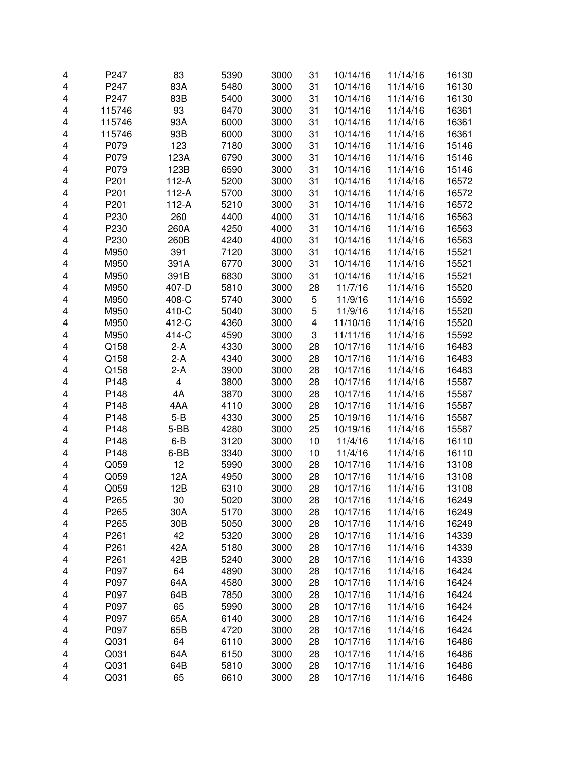| 4 | P247             | 83                      | 5390 | 3000         | 31 | 10/14/16 | 11/14/16 | 16130 |
|---|------------------|-------------------------|------|--------------|----|----------|----------|-------|
|   | P247             | 83A                     | 5480 |              |    | 10/14/16 | 11/14/16 | 16130 |
| 4 |                  |                         |      | 3000         | 31 |          |          |       |
| 4 | P247             | 83B                     | 5400 | 3000         | 31 | 10/14/16 | 11/14/16 | 16130 |
| 4 | 115746           | 93                      | 6470 | 3000         | 31 | 10/14/16 | 11/14/16 | 16361 |
| 4 | 115746           | 93A                     | 6000 | 3000         | 31 | 10/14/16 | 11/14/16 | 16361 |
| 4 | 115746           | 93B                     | 6000 | 3000         | 31 | 10/14/16 | 11/14/16 | 16361 |
| 4 | P079             | 123                     | 7180 | 3000         | 31 | 10/14/16 | 11/14/16 | 15146 |
| 4 | P079             | 123A                    | 6790 | 3000         | 31 | 10/14/16 | 11/14/16 | 15146 |
| 4 | P079             | 123B                    | 6590 | 3000         | 31 | 10/14/16 | 11/14/16 | 15146 |
| 4 | P201             | $112-A$                 | 5200 | 3000         | 31 | 10/14/16 | 11/14/16 | 16572 |
| 4 | P201             | $112-A$                 | 5700 | 3000         | 31 | 10/14/16 | 11/14/16 | 16572 |
| 4 | P201             | $112-A$                 | 5210 | 3000         | 31 | 10/14/16 | 11/14/16 | 16572 |
| 4 | P230             | 260                     | 4400 | 4000         | 31 | 10/14/16 | 11/14/16 | 16563 |
| 4 | P230             | 260A                    | 4250 | 4000         | 31 | 10/14/16 | 11/14/16 | 16563 |
| 4 | P230             | 260B                    | 4240 | 4000         | 31 | 10/14/16 | 11/14/16 | 16563 |
| 4 | M950             | 391                     | 7120 | 3000         | 31 | 10/14/16 | 11/14/16 | 15521 |
| 4 | M950             | 391A                    | 6770 | 3000         | 31 | 10/14/16 | 11/14/16 | 15521 |
| 4 | M950             | 391B                    | 6830 | 3000         | 31 | 10/14/16 | 11/14/16 | 15521 |
| 4 | M950             | 407-D                   | 5810 | 3000         | 28 | 11/7/16  | 11/14/16 | 15520 |
| 4 | M950             | 408-C                   | 5740 | 3000         | 5  | 11/9/16  | 11/14/16 | 15592 |
| 4 | M950             | 410-C                   | 5040 | 3000         | 5  | 11/9/16  | 11/14/16 | 15520 |
| 4 | M950             | 412-C                   | 4360 | 3000         | 4  | 11/10/16 | 11/14/16 | 15520 |
| 4 | M950             | 414-C                   | 4590 | 3000         | 3  | 11/11/16 | 11/14/16 | 15592 |
| 4 | Q158             | $2-A$                   | 4330 | 3000         | 28 | 10/17/16 | 11/14/16 | 16483 |
| 4 | Q158             | $2-A$                   | 4340 | 3000         | 28 | 10/17/16 | 11/14/16 | 16483 |
| 4 | Q158             | $2-A$                   | 3900 | 3000         | 28 | 10/17/16 | 11/14/16 | 16483 |
| 4 | P148             | $\overline{\mathbf{4}}$ | 3800 | 3000         | 28 | 10/17/16 | 11/14/16 | 15587 |
| 4 | P148             | 4A                      | 3870 | 3000         | 28 | 10/17/16 | 11/14/16 | 15587 |
| 4 | P148             | 4AA                     | 4110 | 3000         | 28 | 10/17/16 | 11/14/16 | 15587 |
| 4 | P148             | $5 - B$                 | 4330 | 3000         | 25 | 10/19/16 | 11/14/16 | 15587 |
| 4 | P148             | 5-BB                    | 4280 | 3000         | 25 | 10/19/16 | 11/14/16 | 15587 |
| 4 | P148             | $6 - B$                 | 3120 | 3000         | 10 | 11/4/16  | 11/14/16 | 16110 |
| 4 | P148             | 6-BB                    | 3340 | 3000         | 10 | 11/4/16  |          | 16110 |
|   |                  | 12                      |      |              |    |          | 11/14/16 |       |
| 4 | Q059             |                         | 5990 | 3000<br>3000 | 28 | 10/17/16 | 11/14/16 | 13108 |
| 4 | Q059             | 12A                     | 4950 |              | 28 | 10/17/16 | 11/14/16 | 13108 |
| 4 | Q059             | 12B                     | 6310 | 3000         | 28 | 10/17/16 | 11/14/16 | 13108 |
| 4 | P <sub>265</sub> | 30                      | 5020 | 3000         | 28 | 10/17/16 | 11/14/16 | 16249 |
| 4 | P265             | 30A                     | 5170 | 3000         | 28 | 10/17/16 | 11/14/16 | 16249 |
| 4 | P265             | 30B                     | 5050 | 3000         | 28 | 10/17/16 | 11/14/16 | 16249 |
| 4 | P261             | 42                      | 5320 | 3000         | 28 | 10/17/16 | 11/14/16 | 14339 |
| 4 | P <sub>261</sub> | 42A                     | 5180 | 3000         | 28 | 10/17/16 | 11/14/16 | 14339 |
| 4 | P <sub>261</sub> | 42B                     | 5240 | 3000         | 28 | 10/17/16 | 11/14/16 | 14339 |
| 4 | P097             | 64                      | 4890 | 3000         | 28 | 10/17/16 | 11/14/16 | 16424 |
| 4 | P097             | 64A                     | 4580 | 3000         | 28 | 10/17/16 | 11/14/16 | 16424 |
| 4 | P097             | 64B                     | 7850 | 3000         | 28 | 10/17/16 | 11/14/16 | 16424 |
| 4 | P097             | 65                      | 5990 | 3000         | 28 | 10/17/16 | 11/14/16 | 16424 |
| 4 | P097             | 65A                     | 6140 | 3000         | 28 | 10/17/16 | 11/14/16 | 16424 |
| 4 | P097             | 65B                     | 4720 | 3000         | 28 | 10/17/16 | 11/14/16 | 16424 |
| 4 | Q031             | 64                      | 6110 | 3000         | 28 | 10/17/16 | 11/14/16 | 16486 |
| 4 | Q031             | 64A                     | 6150 | 3000         | 28 | 10/17/16 | 11/14/16 | 16486 |
| 4 | Q031             | 64B                     | 5810 | 3000         | 28 | 10/17/16 | 11/14/16 | 16486 |
| 4 | Q031             | 65                      | 6610 | 3000         | 28 | 10/17/16 | 11/14/16 | 16486 |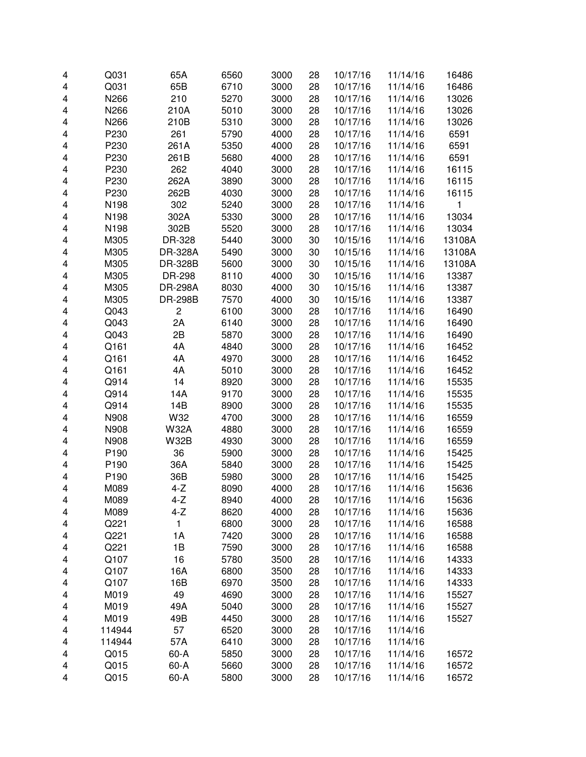| 4      | Q031   | 65A            | 6560 | 3000 | 28 | 10/17/16 | 11/14/16             | 16486  |
|--------|--------|----------------|------|------|----|----------|----------------------|--------|
| 4      | Q031   | 65B            | 6710 | 3000 | 28 | 10/17/16 | 11/14/16             | 16486  |
| 4      | N266   | 210            | 5270 | 3000 | 28 | 10/17/16 | 11/14/16             | 13026  |
| 4      | N266   | 210A           | 5010 | 3000 | 28 | 10/17/16 | 11/14/16             | 13026  |
| 4      | N266   | 210B           | 5310 | 3000 | 28 | 10/17/16 | 11/14/16             | 13026  |
|        | P230   | 261            | 5790 | 4000 |    |          |                      |        |
| 4      |        |                |      |      | 28 | 10/17/16 | 11/14/16             | 6591   |
| 4      | P230   | 261A           | 5350 | 4000 | 28 | 10/17/16 | 11/14/16             | 6591   |
| 4      | P230   | 261B           | 5680 | 4000 | 28 | 10/17/16 | 11/14/16             | 6591   |
| 4      | P230   | 262            | 4040 | 3000 | 28 | 10/17/16 | 11/14/16             | 16115  |
| 4      | P230   | 262A           | 3890 | 3000 | 28 | 10/17/16 | 11/14/16             | 16115  |
| 4      | P230   | 262B           | 4030 | 3000 | 28 | 10/17/16 | 11/14/16             | 16115  |
| 4      | N198   | 302            | 5240 | 3000 | 28 | 10/17/16 | 11/14/16             | 1      |
| 4      | N198   | 302A           | 5330 | 3000 | 28 | 10/17/16 | 11/14/16             | 13034  |
| 4      | N198   | 302B           | 5520 | 3000 | 28 | 10/17/16 | 11/14/16             | 13034  |
| 4      | M305   | DR-328         | 5440 | 3000 | 30 | 10/15/16 | 11/14/16             | 13108A |
| 4      | M305   | DR-328A        | 5490 | 3000 | 30 | 10/15/16 | 11/14/16             | 13108A |
| 4      | M305   | DR-328B        | 5600 | 3000 | 30 | 10/15/16 | 11/14/16             | 13108A |
| 4      | M305   | DR-298         | 8110 | 4000 | 30 | 10/15/16 | 11/14/16             | 13387  |
| 4      | M305   | <b>DR-298A</b> | 8030 | 4000 | 30 | 10/15/16 | 11/14/16             | 13387  |
| 4      | M305   | <b>DR-298B</b> | 7570 | 4000 | 30 | 10/15/16 | 11/14/16             | 13387  |
| 4      | Q043   | $\overline{c}$ | 6100 | 3000 | 28 | 10/17/16 | 11/14/16             | 16490  |
| 4      | Q043   | 2A             | 6140 | 3000 | 28 | 10/17/16 | 11/14/16             | 16490  |
| 4      | Q043   | 2B             | 5870 | 3000 | 28 | 10/17/16 | 11/14/16             | 16490  |
| 4      | Q161   | 4A             | 4840 | 3000 | 28 | 10/17/16 | 11/14/16             | 16452  |
| 4      | Q161   | 4A             | 4970 | 3000 | 28 | 10/17/16 | 11/14/16             | 16452  |
| 4      | Q161   | 4A             | 5010 | 3000 | 28 | 10/17/16 | 11/14/16             | 16452  |
| 4      | Q914   | 14             | 8920 | 3000 | 28 | 10/17/16 | 11/14/16             | 15535  |
| 4      | Q914   | 14A            | 9170 | 3000 | 28 | 10/17/16 | 11/14/16             | 15535  |
| 4      | Q914   | 14B            | 8900 | 3000 | 28 | 10/17/16 | 11/14/16             | 15535  |
| 4      | N908   | W32            | 4700 | 3000 | 28 | 10/17/16 | 11/14/16             | 16559  |
| 4      | N908   | <b>W32A</b>    | 4880 | 3000 | 28 | 10/17/16 | 11/14/16             | 16559  |
| 4      | N908   | <b>W32B</b>    | 4930 | 3000 | 28 | 10/17/16 | 11/14/16             | 16559  |
| 4      | P190   | 36             | 5900 | 3000 | 28 | 10/17/16 | 11/14/16             | 15425  |
| 4      | P190   | 36A            | 5840 | 3000 | 28 | 10/17/16 | 11/14/16             | 15425  |
| 4      | P190   | 36B            | 5980 | 3000 | 28 | 10/17/16 | 11/14/16             | 15425  |
| 4      | M089   | $4-Z$          | 8090 | 4000 | 28 | 10/17/16 | 11/14/16             | 15636  |
| 4      | M089   | 4-Z            | 8940 | 4000 | 28 | 10/17/16 | 11/14/16             | 15636  |
| 4      | M089   | $4-Z$          | 8620 | 4000 | 28 | 10/17/16 | 11/14/16             | 15636  |
| 4      | Q221   | 1              | 6800 | 3000 | 28 | 10/17/16 | 11/14/16             | 16588  |
| 4      | Q221   | 1A             | 7420 | 3000 | 28 | 10/17/16 | 11/14/16             | 16588  |
| 4      | Q221   | 1B             | 7590 | 3000 | 28 | 10/17/16 | 11/14/16             | 16588  |
| 4      | Q107   | 16             | 5780 | 3500 | 28 | 10/17/16 | 11/14/16             | 14333  |
| 4      | Q107   | 16A            | 6800 | 3500 | 28 | 10/17/16 | 11/14/16             | 14333  |
| 4      | Q107   | 16B            | 6970 | 3500 | 28 | 10/17/16 | 11/14/16             | 14333  |
| 4      | M019   | 49             | 4690 | 3000 | 28 | 10/17/16 | 11/14/16             | 15527  |
| 4      | M019   | 49A            | 5040 | 3000 | 28 | 10/17/16 | 11/14/16             | 15527  |
| 4      | M019   | 49B            | 4450 | 3000 | 28 | 10/17/16 | 11/14/16             | 15527  |
|        | 114944 |                | 6520 | 3000 | 28 | 10/17/16 |                      |        |
| 4      | 114944 | 57<br>57A      | 6410 | 3000 | 28 | 10/17/16 | 11/14/16<br>11/14/16 |        |
| 4<br>4 | Q015   | 60-A           | 5850 | 3000 | 28 | 10/17/16 | 11/14/16             |        |
|        | Q015   | $60-A$         | 5660 | 3000 |    | 10/17/16 | 11/14/16             | 16572  |
| 4      |        |                |      |      | 28 |          |                      | 16572  |
| 4      | Q015   | $60-A$         | 5800 | 3000 | 28 | 10/17/16 | 11/14/16             | 16572  |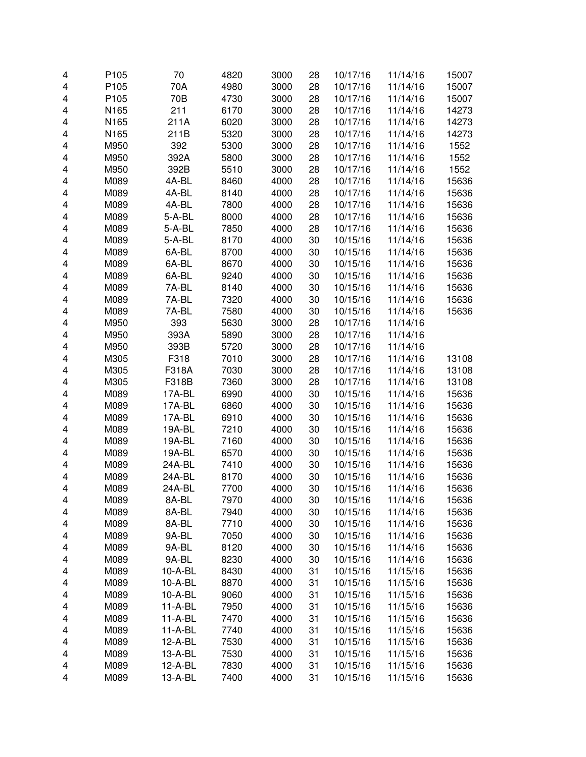| 4                       | P105         | 70        | 4820 | 3000         | 28       | 10/17/16             | 11/14/16 | 15007          |
|-------------------------|--------------|-----------|------|--------------|----------|----------------------|----------|----------------|
| $\overline{\mathbf{4}}$ | P105         | 70A       | 4980 | 3000         | 28       | 10/17/16             | 11/14/16 | 15007          |
| 4                       | P105         | 70B       | 4730 | 3000         | 28       | 10/17/16             | 11/14/16 | 15007          |
| 4                       | N165         | 211       | 6170 | 3000         | 28       | 10/17/16             | 11/14/16 | 14273          |
| 4                       | N165         | 211A      | 6020 | 3000         | 28       | 10/17/16             | 11/14/16 | 14273          |
| 4                       | N165         | 211B      | 5320 | 3000         | 28       | 10/17/16             | 11/14/16 | 14273          |
| 4                       | M950         | 392       | 5300 | 3000         | 28       | 10/17/16             | 11/14/16 | 1552           |
| 4                       | M950         | 392A      | 5800 | 3000         | 28       | 10/17/16             | 11/14/16 | 1552           |
| 4                       | M950         | 392B      | 5510 | 3000         | 28       | 10/17/16             | 11/14/16 | 1552           |
| 4                       | M089         | 4A-BL     | 8460 | 4000         | 28       | 10/17/16             | 11/14/16 | 15636          |
| $\overline{\mathbf{4}}$ | M089         | 4A-BL     | 8140 | 4000         | 28       | 10/17/16             | 11/14/16 | 15636          |
| 4                       | M089         | 4A-BL     | 7800 | 4000         | 28       | 10/17/16             | 11/14/16 | 15636          |
| 4                       | M089         | $5-A-BL$  | 8000 | 4000         | 28       | 10/17/16             | 11/14/16 | 15636          |
| 4                       | M089         | $5-A-BL$  | 7850 | 4000         | 28       | 10/17/16             | 11/14/16 | 15636          |
| $\overline{\mathbf{4}}$ | M089         | $5-A-BL$  | 8170 | 4000         | 30       | 10/15/16             | 11/14/16 | 15636          |
| $\overline{\mathbf{4}}$ | M089         | 6A-BL     | 8700 | 4000         | 30       | 10/15/16             | 11/14/16 | 15636          |
| 4                       | M089         | 6A-BL     | 8670 | 4000         | 30       | 10/15/16             | 11/14/16 | 15636          |
| 4                       | M089         | 6A-BL     | 9240 | 4000         | 30       | 10/15/16             | 11/14/16 | 15636          |
| $\overline{\mathbf{4}}$ | M089         | 7A-BL     | 8140 | 4000         | 30       | 10/15/16             | 11/14/16 | 15636          |
| 4                       | M089         | 7A-BL     | 7320 | 4000         | 30       | 10/15/16             | 11/14/16 | 15636          |
| 4                       | M089         | 7A-BL     | 7580 | 4000         | 30       | 10/15/16             | 11/14/16 | 15636          |
| 4                       | M950         | 393       | 5630 | 3000         | 28       | 10/17/16             | 11/14/16 |                |
| 4                       | M950         | 393A      | 5890 | 3000         | 28       | 10/17/16             | 11/14/16 |                |
| 4                       | M950         | 393B      | 5720 | 3000         | 28       | 10/17/16             | 11/14/16 |                |
| 4                       | M305         | F318      | 7010 | 3000         | 28       | 10/17/16             | 11/14/16 | 13108          |
| 4                       | M305         | F318A     | 7030 | 3000         | 28       | 10/17/16             | 11/14/16 | 13108          |
| 4                       | M305         | F318B     | 7360 | 3000         | 28       | 10/17/16             | 11/14/16 | 13108          |
| 4                       | M089         | 17A-BL    | 6990 | 4000         | 30       | 10/15/16             | 11/14/16 | 15636          |
| 4                       | M089         | 17A-BL    | 6860 | 4000         | 30       | 10/15/16             | 11/14/16 | 15636          |
| 4                       | M089         | 17A-BL    | 6910 | 4000         | 30       | 10/15/16             | 11/14/16 | 15636          |
| 4                       | M089         | 19A-BL    | 7210 | 4000         | 30       | 10/15/16             | 11/14/16 | 15636          |
| $\overline{\mathbf{4}}$ | M089         | 19A-BL    | 7160 | 4000         | 30       | 10/15/16             | 11/14/16 | 15636          |
| $\overline{\mathbf{4}}$ | M089         | 19A-BL    | 6570 | 4000         | 30       | 10/15/16             | 11/14/16 | 15636          |
| 4                       | M089         | 24A-BL    | 7410 | 4000         | 30       | 10/15/16             | 11/14/16 | 15636          |
| 4                       | M089         | 24A-BL    | 8170 | 4000         | 30       | 10/15/16             | 11/14/16 | 15636          |
| 4                       | M089         | 24A-BL    | 7700 | 4000         | 30       | 10/15/16             | 11/14/16 | 15636          |
|                         |              | 8A-BL     | 7970 |              |          |                      | 11/14/16 |                |
| 4<br>4                  | M089<br>M089 | 8A-BL     | 7940 | 4000<br>4000 | 30<br>30 | 10/15/16<br>10/15/16 | 11/14/16 | 15636<br>15636 |
| 4                       | M089         | 8A-BL     | 7710 | 4000         | 30       | 10/15/16             | 11/14/16 | 15636          |
|                         | M089         | 9A-BL     | 7050 | 4000         | 30       | 10/15/16             | 11/14/16 | 15636          |
| 4                       | M089         | 9A-BL     | 8120 | 4000         | 30       |                      |          | 15636          |
| 4                       |              |           |      |              |          | 10/15/16             | 11/14/16 |                |
| 4                       | M089<br>M089 | 9A-BL     | 8230 | 4000         | 30       | 10/15/16             | 11/14/16 | 15636          |
| 4                       |              | 10-A-BL   | 8430 | 4000         | 31       | 10/15/16             | 11/15/16 | 15636          |
| 4                       | M089         | 10-A-BL   | 8870 | 4000         | 31       | 10/15/16             | 11/15/16 | 15636          |
| 4                       | M089         | $10-A-BL$ | 9060 | 4000         | 31       | 10/15/16             | 11/15/16 | 15636          |
| 4                       | M089         | $11-A-BL$ | 7950 | 4000         | 31       | 10/15/16             | 11/15/16 | 15636          |
| 4                       | M089         | $11-A-BL$ | 7470 | 4000         | 31       | 10/15/16             | 11/15/16 | 15636          |
| 4                       | M089         | $11-A-BL$ | 7740 | 4000         | 31       | 10/15/16             | 11/15/16 | 15636          |
| 4                       | M089         | 12-A-BL   | 7530 | 4000         | 31       | 10/15/16             | 11/15/16 | 15636          |
| 4                       | M089         | 13-A-BL   | 7530 | 4000         | 31       | 10/15/16             | 11/15/16 | 15636          |
| 4                       | M089         | 12-A-BL   | 7830 | 4000         | 31       | 10/15/16             | 11/15/16 | 15636          |
| 4                       | M089         | 13-A-BL   | 7400 | 4000         | 31       | 10/15/16             | 11/15/16 | 15636          |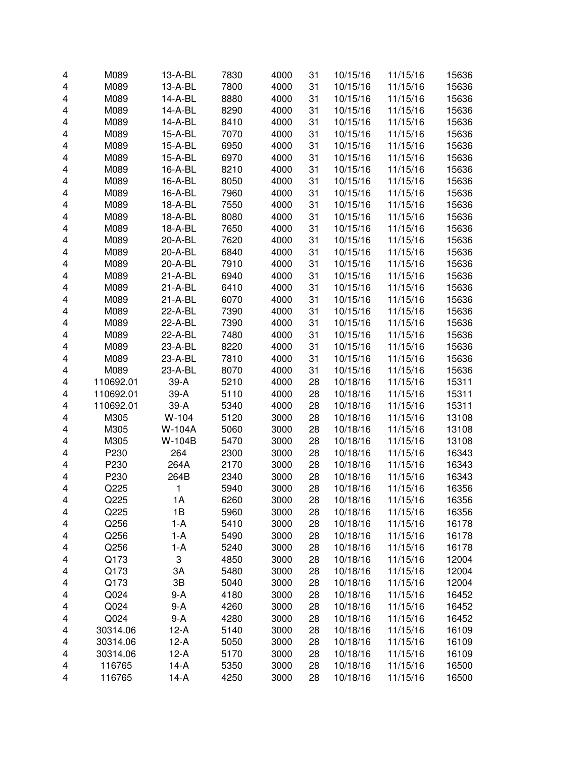| 4                       | M089      | 13-A-BL     | 7830 | 4000 | 31 | 10/15/16 | 11/15/16 | 15636 |
|-------------------------|-----------|-------------|------|------|----|----------|----------|-------|
| $\overline{\mathbf{4}}$ | M089      | 13-A-BL     | 7800 | 4000 | 31 | 10/15/16 | 11/15/16 | 15636 |
| 4                       | M089      | 14-A-BL     | 8880 | 4000 | 31 | 10/15/16 | 11/15/16 | 15636 |
| 4                       | M089      | 14-A-BL     | 8290 | 4000 | 31 | 10/15/16 | 11/15/16 | 15636 |
| 4                       | M089      | 14-A-BL     | 8410 | 4000 | 31 | 10/15/16 | 11/15/16 | 15636 |
| 4                       | M089      | 15-A-BL     | 7070 | 4000 | 31 | 10/15/16 | 11/15/16 | 15636 |
| 4                       | M089      | 15-A-BL     | 6950 | 4000 | 31 | 10/15/16 | 11/15/16 | 15636 |
| 4                       | M089      | 15-A-BL     | 6970 | 4000 | 31 | 10/15/16 | 11/15/16 | 15636 |
| 4                       | M089      | 16-A-BL     | 8210 | 4000 | 31 | 10/15/16 | 11/15/16 | 15636 |
| 4                       | M089      | 16-A-BL     | 8050 | 4000 | 31 | 10/15/16 | 11/15/16 | 15636 |
| 4                       | M089      | 16-A-BL     | 7960 | 4000 | 31 | 10/15/16 | 11/15/16 | 15636 |
| 4                       | M089      | 18-A-BL     | 7550 | 4000 | 31 | 10/15/16 | 11/15/16 | 15636 |
| 4                       | M089      | 18-A-BL     | 8080 | 4000 | 31 | 10/15/16 | 11/15/16 | 15636 |
| 4                       | M089      | 18-A-BL     | 7650 | 4000 | 31 | 10/15/16 | 11/15/16 | 15636 |
| 4                       | M089      | 20-A-BL     | 7620 | 4000 | 31 | 10/15/16 | 11/15/16 | 15636 |
| 4                       | M089      | 20-A-BL     | 6840 | 4000 | 31 | 10/15/16 | 11/15/16 | 15636 |
| 4                       | M089      | 20-A-BL     | 7910 | 4000 | 31 |          |          |       |
|                         |           | $21 - A-BL$ |      |      |    | 10/15/16 | 11/15/16 | 15636 |
| 4                       | M089      |             | 6940 | 4000 | 31 | 10/15/16 | 11/15/16 | 15636 |
| 4                       | M089      | 21-A-BL     | 6410 | 4000 | 31 | 10/15/16 | 11/15/16 | 15636 |
| 4                       | M089      | $21 - A-BL$ | 6070 | 4000 | 31 | 10/15/16 | 11/15/16 | 15636 |
| 4                       | M089      | 22-A-BL     | 7390 | 4000 | 31 | 10/15/16 | 11/15/16 | 15636 |
| 4                       | M089      | 22-A-BL     | 7390 | 4000 | 31 | 10/15/16 | 11/15/16 | 15636 |
| 4                       | M089      | 22-A-BL     | 7480 | 4000 | 31 | 10/15/16 | 11/15/16 | 15636 |
| 4                       | M089      | 23-A-BL     | 8220 | 4000 | 31 | 10/15/16 | 11/15/16 | 15636 |
| 4                       | M089      | 23-A-BL     | 7810 | 4000 | 31 | 10/15/16 | 11/15/16 | 15636 |
| 4                       | M089      | 23-A-BL     | 8070 | 4000 | 31 | 10/15/16 | 11/15/16 | 15636 |
| 4                       | 110692.01 | $39-A$      | 5210 | 4000 | 28 | 10/18/16 | 11/15/16 | 15311 |
| 4                       | 110692.01 | $39-A$      | 5110 | 4000 | 28 | 10/18/16 | 11/15/16 | 15311 |
| 4                       | 110692.01 | 39-A        | 5340 | 4000 | 28 | 10/18/16 | 11/15/16 | 15311 |
| 4                       | M305      | $W-104$     | 5120 | 3000 | 28 | 10/18/16 | 11/15/16 | 13108 |
| 4                       | M305      | W-104A      | 5060 | 3000 | 28 | 10/18/16 | 11/15/16 | 13108 |
| 4                       | M305      | W-104B      | 5470 | 3000 | 28 | 10/18/16 | 11/15/16 | 13108 |
| 4                       | P230      | 264         | 2300 | 3000 | 28 | 10/18/16 | 11/15/16 | 16343 |
| 4                       | P230      | 264A        | 2170 | 3000 | 28 | 10/18/16 | 11/15/16 | 16343 |
| 4                       | P230      | 264B        | 2340 | 3000 | 28 | 10/18/16 | 11/15/16 | 16343 |
| 4                       | Q225      | 1           | 5940 | 3000 | 28 | 10/18/16 | 11/15/16 | 16356 |
| 4                       | Q225      | 1A          | 6260 | 3000 | 28 | 10/18/16 | 11/15/16 | 16356 |
| 4                       | Q225      | 1B          | 5960 | 3000 | 28 | 10/18/16 | 11/15/16 | 16356 |
| 4                       | Q256      | $1-A$       | 5410 | 3000 | 28 | 10/18/16 | 11/15/16 | 16178 |
| 4                       | Q256      | $1-A$       | 5490 | 3000 | 28 | 10/18/16 | 11/15/16 | 16178 |
| 4                       | Q256      | $1-A$       | 5240 | 3000 | 28 | 10/18/16 | 11/15/16 | 16178 |
| 4                       | Q173      | 3           | 4850 | 3000 | 28 | 10/18/16 | 11/15/16 | 12004 |
| 4                       | Q173      | ЗA          | 5480 | 3000 | 28 | 10/18/16 | 11/15/16 | 12004 |
| 4                       | Q173      | 3B          | 5040 | 3000 | 28 | 10/18/16 | 11/15/16 | 12004 |
| 4                       | Q024      | $9-A$       | 4180 | 3000 | 28 | 10/18/16 | 11/15/16 | 16452 |
| 4                       | Q024      | $9-A$       | 4260 | 3000 | 28 | 10/18/16 | 11/15/16 | 16452 |
| 4                       | Q024      | $9-A$       | 4280 | 3000 | 28 | 10/18/16 | 11/15/16 | 16452 |
|                         | 30314.06  | $12-A$      | 5140 | 3000 | 28 | 10/18/16 | 11/15/16 |       |
| 4                       |           |             |      |      |    |          |          | 16109 |
| 4                       | 30314.06  | $12-A$      | 5050 | 3000 | 28 | 10/18/16 | 11/15/16 | 16109 |
| 4                       | 30314.06  | $12-A$      | 5170 | 3000 | 28 | 10/18/16 | 11/15/16 | 16109 |
| 4                       | 116765    | $14-A$      | 5350 | 3000 | 28 | 10/18/16 | 11/15/16 | 16500 |
| 4                       | 116765    | $14-A$      | 4250 | 3000 | 28 | 10/18/16 | 11/15/16 | 16500 |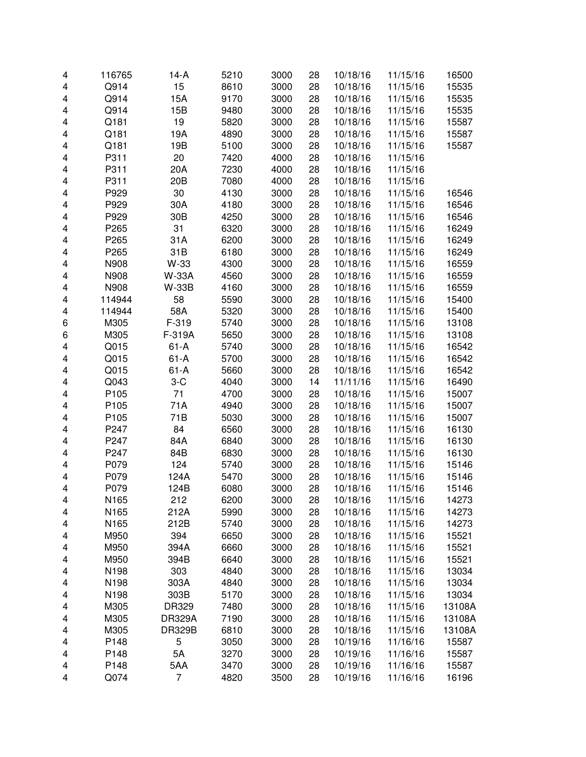| 4                       | 116765 | $14-A$          | 5210 | 3000 | 28 | 10/18/16 | 11/15/16             | 16500  |
|-------------------------|--------|-----------------|------|------|----|----------|----------------------|--------|
| 4                       | Q914   | 15              | 8610 | 3000 | 28 | 10/18/16 | 11/15/16             | 15535  |
| 4                       | Q914   | 15A             | 9170 | 3000 | 28 | 10/18/16 | 11/15/16             | 15535  |
| 4                       | Q914   | 15B             | 9480 | 3000 | 28 | 10/18/16 | 11/15/16             | 15535  |
| 4                       | Q181   | 19              | 5820 | 3000 | 28 | 10/18/16 | 11/15/16             | 15587  |
| 4                       | Q181   | 19A             | 4890 | 3000 | 28 | 10/18/16 | 11/15/16             | 15587  |
| 4                       | Q181   | 19B             | 5100 | 3000 | 28 | 10/18/16 | 11/15/16             | 15587  |
| 4                       | P311   | 20              | 7420 | 4000 | 28 | 10/18/16 | 11/15/16             |        |
| 4                       | P311   | 20A             | 7230 | 4000 | 28 | 10/18/16 | 11/15/16             |        |
| 4                       | P311   | 20 <sub>B</sub> | 7080 | 4000 | 28 | 10/18/16 | 11/15/16             |        |
| 4                       | P929   | 30              | 4130 | 3000 | 28 | 10/18/16 | 11/15/16             | 16546  |
| 4                       | P929   | 30A             | 4180 | 3000 | 28 | 10/18/16 | 11/15/16             | 16546  |
| 4                       | P929   | 30 <sub>B</sub> | 4250 | 3000 | 28 | 10/18/16 | 11/15/16             | 16546  |
| 4                       | P265   | 31              | 6320 | 3000 | 28 | 10/18/16 | 11/15/16             | 16249  |
| $\overline{\mathbf{4}}$ | P265   | 31A             | 6200 | 3000 | 28 | 10/18/16 | 11/15/16             | 16249  |
| $\overline{\mathbf{4}}$ | P265   | 31B             | 6180 | 3000 | 28 | 10/18/16 | 11/15/16             | 16249  |
| 4                       | N908   | W-33            | 4300 | 3000 | 28 | 10/18/16 | 11/15/16             | 16559  |
| 4                       | N908   | <b>W-33A</b>    | 4560 | 3000 | 28 | 10/18/16 | 11/15/16             | 16559  |
| 4                       | N908   | <b>W-33B</b>    | 4160 | 3000 | 28 | 10/18/16 | 11/15/16             | 16559  |
| 4                       | 114944 | 58              | 5590 | 3000 | 28 | 10/18/16 | 11/15/16             | 15400  |
| 4                       | 114944 | 58A             | 5320 | 3000 | 28 | 10/18/16 | 11/15/16             | 15400  |
| 6                       | M305   | F-319           | 5740 | 3000 | 28 | 10/18/16 | 11/15/16             | 13108  |
| 6                       | M305   | F-319A          | 5650 | 3000 | 28 | 10/18/16 | 11/15/16             | 13108  |
| 4                       | Q015   | $61-A$          | 5740 | 3000 | 28 | 10/18/16 | 11/15/16             | 16542  |
| 4                       | Q015   | $61 - A$        | 5700 | 3000 | 28 | 10/18/16 | 11/15/16             | 16542  |
| 4                       | Q015   | $61 - A$        | 5660 | 3000 | 28 | 10/18/16 | 11/15/16             | 16542  |
|                         | Q043   | $3-C$           | 4040 | 3000 | 14 | 11/11/16 | 11/15/16             | 16490  |
| 4                       | P105   | 71              | 4700 | 3000 | 28 |          |                      |        |
| 4                       |        | 71A             |      |      | 28 | 10/18/16 | 11/15/16<br>11/15/16 | 15007  |
| 4                       | P105   | 71B             | 4940 | 3000 |    | 10/18/16 |                      | 15007  |
| 4                       | P105   |                 | 5030 | 3000 | 28 | 10/18/16 | 11/15/16             | 15007  |
| 4                       | P247   | 84              | 6560 | 3000 | 28 | 10/18/16 | 11/15/16             | 16130  |
| $\overline{\mathbf{4}}$ | P247   | 84A             | 6840 | 3000 | 28 | 10/18/16 | 11/15/16             | 16130  |
| $\overline{\mathbf{4}}$ | P247   | 84B             | 6830 | 3000 | 28 | 10/18/16 | 11/15/16             | 16130  |
| 4                       | P079   | 124             | 5740 | 3000 | 28 | 10/18/16 | 11/15/16             | 15146  |
| 4                       | P079   | 124A            | 5470 | 3000 | 28 | 10/18/16 | 11/15/16             | 15146  |
| 4                       | P079   | 124B            | 6080 | 3000 | 28 | 10/18/16 | 11/15/16             | 15146  |
| 4                       | N165   | 212             | 6200 | 3000 | 28 | 10/18/16 | 11/15/16             | 14273  |
| 4                       | N165   | 212A            | 5990 | 3000 | 28 | 10/18/16 | 11/15/16             | 14273  |
| 4                       | N165   | 212B            | 5740 | 3000 | 28 | 10/18/16 | 11/15/16             | 14273  |
| 4                       | M950   | 394             | 6650 | 3000 | 28 | 10/18/16 | 11/15/16             | 15521  |
| 4                       | M950   | 394A            | 6660 | 3000 | 28 | 10/18/16 | 11/15/16             | 15521  |
| 4                       | M950   | 394B            | 6640 | 3000 | 28 | 10/18/16 | 11/15/16             | 15521  |
| 4                       | N198   | 303             | 4840 | 3000 | 28 | 10/18/16 | 11/15/16             | 13034  |
| 4                       | N198   | 303A            | 4840 | 3000 | 28 | 10/18/16 | 11/15/16             | 13034  |
| 4                       | N198   | 303B            | 5170 | 3000 | 28 | 10/18/16 | 11/15/16             | 13034  |
| 4                       | M305   | DR329           | 7480 | 3000 | 28 | 10/18/16 | 11/15/16             | 13108A |
| 4                       | M305   | <b>DR329A</b>   | 7190 | 3000 | 28 | 10/18/16 | 11/15/16             | 13108A |
| 4                       | M305   | <b>DR329B</b>   | 6810 | 3000 | 28 | 10/18/16 | 11/15/16             | 13108A |
| 4                       | P148   | 5               | 3050 | 3000 | 28 | 10/19/16 | 11/16/16             | 15587  |
| 4                       | P148   | 5A              | 3270 | 3000 | 28 | 10/19/16 | 11/16/16             | 15587  |
| 4                       | P148   | 5AA             | 3470 | 3000 | 28 | 10/19/16 | 11/16/16             | 15587  |
| 4                       | Q074   | 7               | 4820 | 3500 | 28 | 10/19/16 | 11/16/16             | 16196  |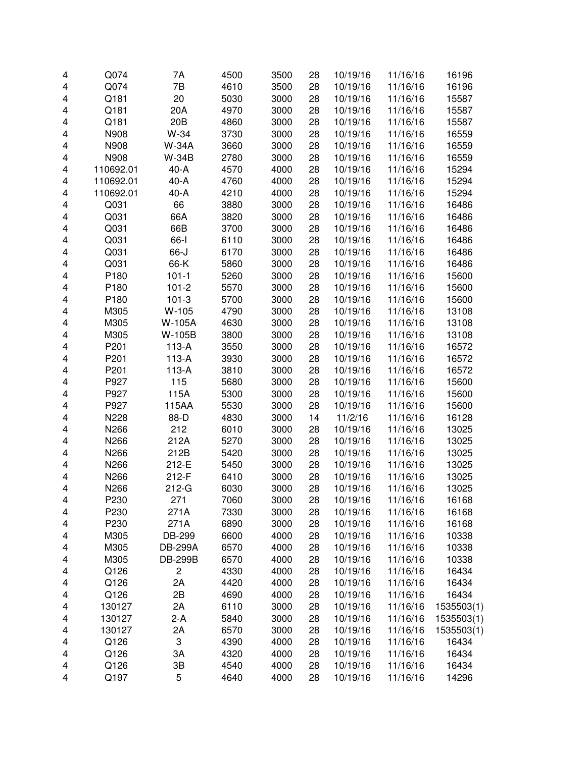| 4 | Q074      | 7A              | 4500 | 3500 | 28 | 10/19/16 | 11/16/16 | 16196      |
|---|-----------|-----------------|------|------|----|----------|----------|------------|
| 4 | Q074      | 7B              | 4610 | 3500 | 28 | 10/19/16 | 11/16/16 | 16196      |
| 4 | Q181      | 20              | 5030 | 3000 | 28 | 10/19/16 | 11/16/16 | 15587      |
| 4 | Q181      | 20A             | 4970 | 3000 | 28 | 10/19/16 | 11/16/16 | 15587      |
| 4 | Q181      | 20 <sub>B</sub> | 4860 | 3000 | 28 | 10/19/16 | 11/16/16 | 15587      |
| 4 | N908      | W-34            | 3730 | 3000 | 28 | 10/19/16 | 11/16/16 | 16559      |
| 4 | N908      | <b>W-34A</b>    | 3660 | 3000 | 28 | 10/19/16 | 11/16/16 | 16559      |
| 4 | N908      | <b>W-34B</b>    | 2780 | 3000 | 28 | 10/19/16 | 11/16/16 | 16559      |
| 4 | 110692.01 | $40-A$          | 4570 | 4000 | 28 | 10/19/16 | 11/16/16 | 15294      |
| 4 | 110692.01 | $40-A$          | 4760 | 4000 | 28 | 10/19/16 | 11/16/16 | 15294      |
| 4 | 110692.01 | $40-A$          | 4210 | 4000 | 28 | 10/19/16 | 11/16/16 | 15294      |
| 4 | Q031      | 66              | 3880 | 3000 | 28 | 10/19/16 | 11/16/16 | 16486      |
| 4 | Q031      | 66A             | 3820 | 3000 | 28 | 10/19/16 | 11/16/16 | 16486      |
| 4 | Q031      | 66B             | 3700 | 3000 | 28 | 10/19/16 | 11/16/16 | 16486      |
| 4 | Q031      | 66-l            | 6110 | 3000 | 28 | 10/19/16 | 11/16/16 | 16486      |
| 4 | Q031      | 66-J            | 6170 | 3000 | 28 | 10/19/16 | 11/16/16 | 16486      |
| 4 | Q031      | 66-K            | 5860 | 3000 | 28 | 10/19/16 | 11/16/16 | 16486      |
| 4 | P180      | $101 - 1$       | 5260 | 3000 | 28 | 10/19/16 | 11/16/16 | 15600      |
| 4 | P180      | $101 - 2$       | 5570 | 3000 | 28 | 10/19/16 | 11/16/16 | 15600      |
| 4 | P180      | $101 - 3$       | 5700 | 3000 | 28 | 10/19/16 | 11/16/16 | 15600      |
| 4 | M305      | $W-105$         | 4790 | 3000 | 28 | 10/19/16 | 11/16/16 | 13108      |
| 4 | M305      | W-105A          | 4630 | 3000 | 28 | 10/19/16 | 11/16/16 | 13108      |
| 4 | M305      | W-105B          | 3800 | 3000 | 28 | 10/19/16 | 11/16/16 | 13108      |
| 4 | P201      | $113-A$         | 3550 | 3000 | 28 | 10/19/16 | 11/16/16 | 16572      |
| 4 | P201      | $113-A$         | 3930 | 3000 | 28 | 10/19/16 | 11/16/16 | 16572      |
| 4 | P201      | $113-A$         | 3810 | 3000 | 28 | 10/19/16 | 11/16/16 | 16572      |
| 4 | P927      | 115             | 5680 | 3000 | 28 | 10/19/16 | 11/16/16 | 15600      |
| 4 | P927      | 115A            | 5300 | 3000 | 28 | 10/19/16 | 11/16/16 | 15600      |
| 4 | P927      | 115AA           | 5530 | 3000 | 28 | 10/19/16 | 11/16/16 | 15600      |
| 4 | N228      | 88-D            | 4830 | 3000 | 14 | 11/2/16  | 11/16/16 | 16128      |
| 4 | N266      | 212             | 6010 | 3000 | 28 | 10/19/16 | 11/16/16 | 13025      |
| 4 | N266      | 212A            | 5270 | 3000 | 28 | 10/19/16 | 11/16/16 | 13025      |
| 4 | N266      | 212B            | 5420 | 3000 | 28 | 10/19/16 | 11/16/16 | 13025      |
| 4 | N266      | 212-E           | 5450 | 3000 | 28 | 10/19/16 | 11/16/16 | 13025      |
| 4 | N266      | 212-F           | 6410 | 3000 | 28 | 10/19/16 | 11/16/16 | 13025      |
| 4 | N266      | $212-G$         | 6030 | 3000 | 28 | 10/19/16 | 11/16/16 | 13025      |
| 4 | P230      | 271             | 7060 | 3000 | 28 | 10/19/16 | 11/16/16 | 16168      |
| 4 | P230      | 271A            | 7330 | 3000 | 28 | 10/19/16 | 11/16/16 | 16168      |
| 4 | P230      | 271A            | 6890 | 3000 | 28 | 10/19/16 | 11/16/16 | 16168      |
| 4 | M305      | DB-299          | 6600 | 4000 | 28 | 10/19/16 | 11/16/16 | 10338      |
| 4 | M305      | <b>DB-299A</b>  | 6570 | 4000 | 28 | 10/19/16 | 11/16/16 | 10338      |
| 4 | M305      | <b>DB-299B</b>  | 6570 | 4000 | 28 | 10/19/16 | 11/16/16 | 10338      |
| 4 | Q126      | $\mathbf 2$     | 4330 | 4000 | 28 | 10/19/16 | 11/16/16 | 16434      |
| 4 | Q126      | 2A              | 4420 | 4000 | 28 | 10/19/16 | 11/16/16 | 16434      |
|   | Q126      | 2B              | 4690 | 4000 | 28 | 10/19/16 | 11/16/16 | 16434      |
| 4 |           |                 |      |      |    |          |          |            |
| 4 | 130127    | 2A              | 6110 | 3000 | 28 | 10/19/16 | 11/16/16 | 1535503(1) |
| 4 | 130127    | 2-A             | 5840 | 3000 | 28 | 10/19/16 | 11/16/16 | 1535503(1) |
| 4 | 130127    | 2A              | 6570 | 3000 | 28 | 10/19/16 | 11/16/16 | 1535503(1) |
| 4 | Q126      | 3               | 4390 | 4000 | 28 | 10/19/16 | 11/16/16 | 16434      |
| 4 | Q126      | 3A              | 4320 | 4000 | 28 | 10/19/16 | 11/16/16 | 16434      |
| 4 | Q126      | 3B              | 4540 | 4000 | 28 | 10/19/16 | 11/16/16 | 16434      |
| 4 | Q197      | 5               | 4640 | 4000 | 28 | 10/19/16 | 11/16/16 | 14296      |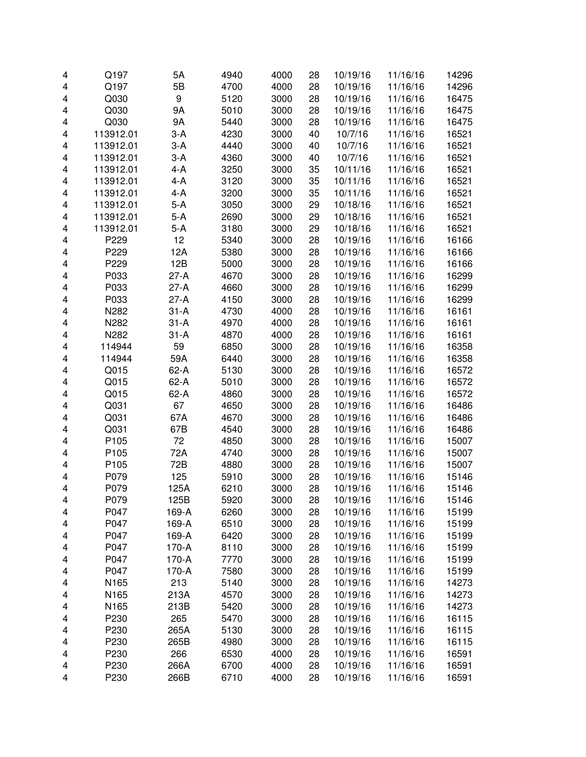| 4 | Q197             | 5A        | 4940 | 4000 | 28 | 10/19/16 | 11/16/16 | 14296 |
|---|------------------|-----------|------|------|----|----------|----------|-------|
| 4 | Q197             | 5B        | 4700 | 4000 | 28 | 10/19/16 | 11/16/16 | 14296 |
| 4 | Q030             | 9         | 5120 | 3000 | 28 | 10/19/16 | 11/16/16 | 16475 |
| 4 | Q030             | <b>9A</b> | 5010 | 3000 | 28 | 10/19/16 | 11/16/16 | 16475 |
| 4 | Q030             | <b>9A</b> | 5440 | 3000 | 28 | 10/19/16 | 11/16/16 | 16475 |
| 4 | 113912.01        | $3-A$     | 4230 | 3000 | 40 | 10/7/16  | 11/16/16 | 16521 |
| 4 | 113912.01        | $3-A$     | 4440 | 3000 | 40 | 10/7/16  | 11/16/16 | 16521 |
| 4 | 113912.01        | $3-A$     | 4360 | 3000 | 40 | 10/7/16  | 11/16/16 | 16521 |
| 4 | 113912.01        | $4 - A$   | 3250 | 3000 | 35 | 10/11/16 | 11/16/16 | 16521 |
| 4 | 113912.01        | $4 - A$   | 3120 | 3000 | 35 | 10/11/16 | 11/16/16 | 16521 |
| 4 | 113912.01        | $4 - A$   | 3200 | 3000 | 35 | 10/11/16 | 11/16/16 | 16521 |
| 4 | 113912.01        | $5-A$     | 3050 | 3000 | 29 | 10/18/16 | 11/16/16 | 16521 |
| 4 | 113912.01        | $5-A$     | 2690 | 3000 | 29 | 10/18/16 | 11/16/16 | 16521 |
| 4 | 113912.01        | $5-A$     | 3180 | 3000 | 29 | 10/18/16 | 11/16/16 | 16521 |
| 4 | P229             | 12        | 5340 | 3000 | 28 | 10/19/16 | 11/16/16 | 16166 |
| 4 | P229             | 12A       | 5380 | 3000 | 28 | 10/19/16 | 11/16/16 | 16166 |
| 4 | P229             | 12B       | 5000 | 3000 | 28 | 10/19/16 | 11/16/16 | 16166 |
| 4 | P033             | $27-A$    | 4670 | 3000 | 28 | 10/19/16 | 11/16/16 | 16299 |
| 4 | P033             | $27-A$    | 4660 | 3000 | 28 | 10/19/16 | 11/16/16 | 16299 |
| 4 | P033             | $27-A$    | 4150 | 3000 | 28 | 10/19/16 | 11/16/16 | 16299 |
| 4 | N282             | $31-A$    | 4730 | 4000 | 28 | 10/19/16 | 11/16/16 | 16161 |
| 4 | N282             | $31-A$    | 4970 | 4000 | 28 | 10/19/16 | 11/16/16 | 16161 |
| 4 | N282             | $31 - A$  | 4870 | 4000 | 28 | 10/19/16 | 11/16/16 | 16161 |
| 4 | 114944           | 59        | 6850 | 3000 | 28 | 10/19/16 | 11/16/16 | 16358 |
| 4 | 114944           | 59A       | 6440 | 3000 | 28 | 10/19/16 | 11/16/16 | 16358 |
| 4 | Q015             | $62-A$    | 5130 | 3000 | 28 | 10/19/16 | 11/16/16 | 16572 |
| 4 | Q015             | $62-A$    | 5010 | 3000 | 28 | 10/19/16 | 11/16/16 | 16572 |
| 4 | Q015             | $62-A$    | 4860 | 3000 | 28 | 10/19/16 | 11/16/16 | 16572 |
| 4 | Q031             | 67        | 4650 | 3000 | 28 | 10/19/16 | 11/16/16 | 16486 |
| 4 | Q031             | 67A       | 4670 | 3000 | 28 | 10/19/16 | 11/16/16 | 16486 |
| 4 | Q031             | 67B       | 4540 | 3000 | 28 | 10/19/16 | 11/16/16 | 16486 |
| 4 | P105             | 72        | 4850 | 3000 | 28 | 10/19/16 | 11/16/16 | 15007 |
| 4 | P105             | 72A       | 4740 | 3000 | 28 | 10/19/16 | 11/16/16 | 15007 |
| 4 | P105             | 72B       | 4880 | 3000 | 28 | 10/19/16 | 11/16/16 | 15007 |
| 4 | P079             | 125       | 5910 | 3000 | 28 | 10/19/16 | 11/16/16 | 15146 |
| 4 | P079             | 125A      | 6210 | 3000 | 28 | 10/19/16 | 11/16/16 | 15146 |
| 4 | P079             | 125B      | 5920 | 3000 | 28 | 10/19/16 | 11/16/16 | 15146 |
| 4 | P047             | 169-A     | 6260 | 3000 | 28 | 10/19/16 | 11/16/16 | 15199 |
| 4 | P047             | 169-A     | 6510 | 3000 | 28 | 10/19/16 | 11/16/16 | 15199 |
| 4 | P047             | 169-A     | 6420 | 3000 | 28 | 10/19/16 | 11/16/16 | 15199 |
| 4 | P047             | 170-A     | 8110 | 3000 | 28 | 10/19/16 | 11/16/16 | 15199 |
| 4 | P047             | 170-A     | 7770 | 3000 | 28 | 10/19/16 | 11/16/16 | 15199 |
| 4 | P047             | 170-A     | 7580 | 3000 | 28 | 10/19/16 | 11/16/16 | 15199 |
| 4 | N <sub>165</sub> | 213       | 5140 | 3000 | 28 | 10/19/16 | 11/16/16 | 14273 |
| 4 | N165             | 213A      | 4570 | 3000 | 28 | 10/19/16 | 11/16/16 | 14273 |
| 4 | N165             | 213B      | 5420 | 3000 | 28 | 10/19/16 | 11/16/16 | 14273 |
| 4 | P230             | 265       | 5470 | 3000 | 28 | 10/19/16 | 11/16/16 | 16115 |
| 4 | P230             | 265A      | 5130 | 3000 | 28 | 10/19/16 | 11/16/16 | 16115 |
| 4 | P230             | 265B      | 4980 | 3000 | 28 | 10/19/16 | 11/16/16 | 16115 |
| 4 | P230             | 266       | 6530 | 4000 | 28 | 10/19/16 | 11/16/16 | 16591 |
| 4 | P230             | 266A      | 6700 | 4000 | 28 | 10/19/16 | 11/16/16 | 16591 |
| 4 | P230             | 266B      | 6710 | 4000 | 28 | 10/19/16 | 11/16/16 | 16591 |
|   |                  |           |      |      |    |          |          |       |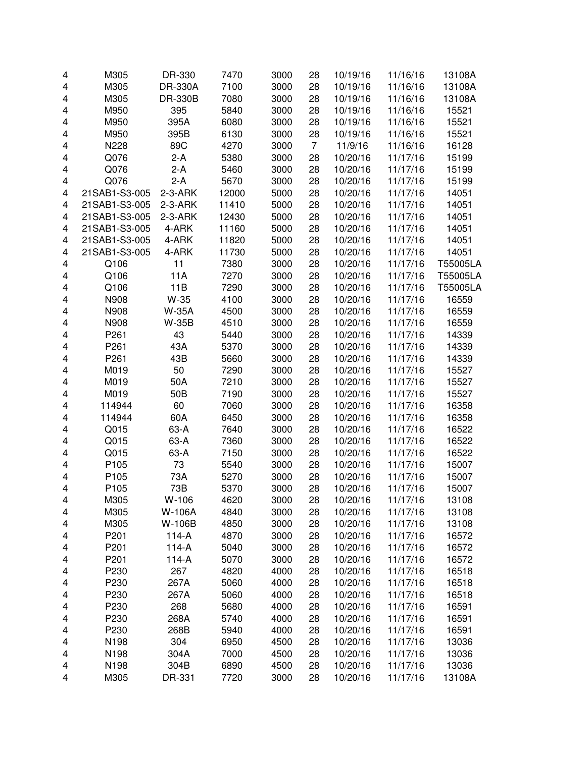| 4 | M305             | DR-330          | 7470  | 3000 | 28             | 10/19/16 | 11/16/16 | 13108A   |
|---|------------------|-----------------|-------|------|----------------|----------|----------|----------|
| 4 | M305             | DR-330A         | 7100  | 3000 | 28             | 10/19/16 | 11/16/16 | 13108A   |
| 4 | M305             | DR-330B         | 7080  | 3000 | 28             | 10/19/16 | 11/16/16 | 13108A   |
| 4 | M950             | 395             | 5840  | 3000 | 28             | 10/19/16 | 11/16/16 | 15521    |
| 4 | M950             | 395A            | 6080  | 3000 | 28             | 10/19/16 | 11/16/16 | 15521    |
| 4 | M950             | 395B            | 6130  | 3000 | 28             | 10/19/16 | 11/16/16 | 15521    |
| 4 | N228             | 89C             | 4270  | 3000 | $\overline{7}$ | 11/9/16  | 11/16/16 | 16128    |
| 4 | Q076             | $2-A$           | 5380  | 3000 | 28             | 10/20/16 | 11/17/16 | 15199    |
| 4 | Q076             | $2-A$           | 5460  | 3000 | 28             | 10/20/16 | 11/17/16 | 15199    |
| 4 | Q076             | $2-A$           | 5670  | 3000 | 28             | 10/20/16 | 11/17/16 | 15199    |
| 4 | 21SAB1-S3-005    | $2-3-ARK$       | 12000 | 5000 | 28             | 10/20/16 | 11/17/16 | 14051    |
| 4 | 21SAB1-S3-005    | $2-3-ARK$       | 11410 | 5000 | 28             | 10/20/16 | 11/17/16 | 14051    |
| 4 | 21SAB1-S3-005    | $2-3-ARK$       | 12430 | 5000 | 28             | 10/20/16 | 11/17/16 | 14051    |
| 4 | 21SAB1-S3-005    | 4-ARK           | 11160 | 5000 | 28             | 10/20/16 | 11/17/16 | 14051    |
| 4 | 21SAB1-S3-005    | 4-ARK           | 11820 | 5000 | 28             | 10/20/16 | 11/17/16 | 14051    |
| 4 | 21SAB1-S3-005    | 4-ARK           | 11730 | 5000 | 28             | 10/20/16 | 11/17/16 | 14051    |
| 4 | Q106             | 11              | 7380  | 3000 | 28             | 10/20/16 | 11/17/16 | T55005LA |
| 4 | Q106             | 11A             | 7270  | 3000 | 28             | 10/20/16 | 11/17/16 | T55005LA |
| 4 | Q106             | 11B             | 7290  | 3000 | 28             | 10/20/16 | 11/17/16 | T55005LA |
|   | N908             | W-35            |       |      |                | 10/20/16 |          | 16559    |
| 4 | N908             |                 | 4100  | 3000 | 28             |          | 11/17/16 |          |
| 4 |                  | <b>W-35A</b>    | 4500  | 3000 | 28             | 10/20/16 | 11/17/16 | 16559    |
| 4 | N908             | W-35B           | 4510  | 3000 | 28             | 10/20/16 | 11/17/16 | 16559    |
| 4 | P <sub>261</sub> | 43              | 5440  | 3000 | 28             | 10/20/16 | 11/17/16 | 14339    |
| 4 | P <sub>261</sub> | 43A             | 5370  | 3000 | 28             | 10/20/16 | 11/17/16 | 14339    |
| 4 | P261             | 43B             | 5660  | 3000 | 28             | 10/20/16 | 11/17/16 | 14339    |
| 4 | M019             | 50              | 7290  | 3000 | 28             | 10/20/16 | 11/17/16 | 15527    |
| 4 | M019             | 50A             | 7210  | 3000 | 28             | 10/20/16 | 11/17/16 | 15527    |
| 4 | M019             | 50 <sub>B</sub> | 7190  | 3000 | 28             | 10/20/16 | 11/17/16 | 15527    |
| 4 | 114944           | 60              | 7060  | 3000 | 28             | 10/20/16 | 11/17/16 | 16358    |
| 4 | 114944           | 60A             | 6450  | 3000 | 28             | 10/20/16 | 11/17/16 | 16358    |
| 4 | Q015             | 63-A            | 7640  | 3000 | 28             | 10/20/16 | 11/17/16 | 16522    |
| 4 | Q015             | 63-A            | 7360  | 3000 | 28             | 10/20/16 | 11/17/16 | 16522    |
| 4 | Q015             | 63-A            | 7150  | 3000 | 28             | 10/20/16 | 11/17/16 | 16522    |
| 4 | P105             | 73              | 5540  | 3000 | 28             | 10/20/16 | 11/17/16 | 15007    |
| 4 | P105             | 73A             | 5270  | 3000 | 28             | 10/20/16 | 11/17/16 | 15007    |
| 4 | P <sub>105</sub> | 73B             | 5370  | 3000 | 28             | 10/20/16 | 11/17/16 | 15007    |
| 4 | M305             | W-106           | 4620  | 3000 | 28             | 10/20/16 | 11/17/16 | 13108    |
| 4 | M305             | W-106A          | 4840  | 3000 | 28             | 10/20/16 | 11/17/16 | 13108    |
| 4 | M305             | W-106B          | 4850  | 3000 | 28             | 10/20/16 | 11/17/16 | 13108    |
| 4 | P201             | $114-A$         | 4870  | 3000 | 28             | 10/20/16 | 11/17/16 | 16572    |
| 4 | P201             | $114-A$         | 5040  | 3000 | 28             | 10/20/16 | 11/17/16 | 16572    |
| 4 | P201             | $114-A$         | 5070  | 3000 | 28             | 10/20/16 | 11/17/16 | 16572    |
| 4 | P230             | 267             | 4820  | 4000 | 28             | 10/20/16 | 11/17/16 | 16518    |
| 4 | P230             | 267A            | 5060  | 4000 | 28             | 10/20/16 | 11/17/16 | 16518    |
| 4 | P230             | 267A            | 5060  | 4000 | 28             | 10/20/16 | 11/17/16 | 16518    |
| 4 | P230             | 268             | 5680  | 4000 | 28             | 10/20/16 | 11/17/16 | 16591    |
| 4 | P230             | 268A            | 5740  | 4000 | 28             | 10/20/16 | 11/17/16 | 16591    |
| 4 | P230             | 268B            | 5940  | 4000 | 28             | 10/20/16 | 11/17/16 | 16591    |
| 4 | N198             | 304             | 6950  | 4500 | 28             | 10/20/16 | 11/17/16 | 13036    |
| 4 | N198             | 304A            | 7000  | 4500 | 28             | 10/20/16 | 11/17/16 | 13036    |
| 4 | N198             | 304B            | 6890  | 4500 | 28             | 10/20/16 | 11/17/16 | 13036    |
| 4 | M305             | DR-331          | 7720  | 3000 | 28             | 10/20/16 | 11/17/16 | 13108A   |
|   |                  |                 |       |      |                |          |          |          |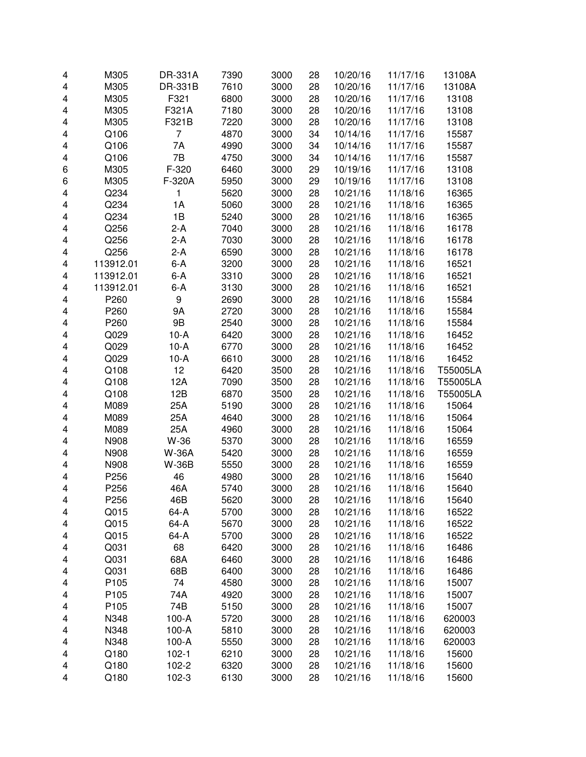| 4                       | M305      | DR-331A      | 7390 | 3000 | 28 | 10/20/16 | 11/17/16 | 13108A   |
|-------------------------|-----------|--------------|------|------|----|----------|----------|----------|
| 4                       | M305      | DR-331B      | 7610 | 3000 | 28 | 10/20/16 | 11/17/16 | 13108A   |
| 4                       | M305      | F321         | 6800 | 3000 | 28 | 10/20/16 | 11/17/16 | 13108    |
| 4                       | M305      | F321A        | 7180 | 3000 | 28 | 10/20/16 | 11/17/16 | 13108    |
| 4                       | M305      | F321B        | 7220 | 3000 | 28 | 10/20/16 | 11/17/16 | 13108    |
| 4                       | Q106      | 7            | 4870 | 3000 | 34 | 10/14/16 | 11/17/16 | 15587    |
| 4                       | Q106      | 7A           | 4990 | 3000 | 34 | 10/14/16 | 11/17/16 | 15587    |
| 4                       | Q106      | 7B           | 4750 | 3000 | 34 | 10/14/16 | 11/17/16 | 15587    |
| 6                       | M305      | F-320        | 6460 | 3000 | 29 | 10/19/16 | 11/17/16 | 13108    |
| 6                       | M305      | F-320A       | 5950 | 3000 | 29 | 10/19/16 | 11/17/16 | 13108    |
| 4                       | Q234      | 1            | 5620 | 3000 | 28 | 10/21/16 | 11/18/16 | 16365    |
| 4                       | Q234      | 1A           | 5060 | 3000 | 28 | 10/21/16 | 11/18/16 | 16365    |
| 4                       | Q234      | 1B           | 5240 | 3000 | 28 | 10/21/16 | 11/18/16 | 16365    |
| 4                       | Q256      | $2-A$        | 7040 | 3000 | 28 | 10/21/16 | 11/18/16 | 16178    |
| 4                       | Q256      | $2-A$        | 7030 | 3000 | 28 | 10/21/16 | 11/18/16 | 16178    |
| 4                       | Q256      | $2-A$        | 6590 | 3000 | 28 | 10/21/16 | 11/18/16 | 16178    |
| $\overline{\mathbf{4}}$ | 113912.01 | $6-A$        | 3200 | 3000 | 28 | 10/21/16 | 11/18/16 | 16521    |
| 4                       | 113912.01 | $6-A$        | 3310 | 3000 | 28 | 10/21/16 | 11/18/16 | 16521    |
| 4                       | 113912.01 | $6-A$        | 3130 | 3000 | 28 | 10/21/16 | 11/18/16 | 16521    |
| 4                       | P260      | 9            | 2690 | 3000 | 28 | 10/21/16 | 11/18/16 | 15584    |
| 4                       | P260      | 9A           | 2720 | 3000 | 28 | 10/21/16 | 11/18/16 | 15584    |
| 4                       | P260      | 9B           | 2540 | 3000 | 28 | 10/21/16 | 11/18/16 | 15584    |
| 4                       | Q029      | $10-A$       | 6420 | 3000 | 28 | 10/21/16 | 11/18/16 | 16452    |
| 4                       | Q029      | $10-A$       | 6770 | 3000 | 28 | 10/21/16 | 11/18/16 | 16452    |
| 4                       | Q029      | $10-A$       | 6610 | 3000 | 28 | 10/21/16 | 11/18/16 | 16452    |
| 4                       | Q108      | 12           | 6420 | 3500 | 28 | 10/21/16 | 11/18/16 | T55005LA |
| 4                       | Q108      | 12A          | 7090 | 3500 | 28 | 10/21/16 | 11/18/16 | T55005LA |
| 4                       | Q108      | 12B          | 6870 | 3500 | 28 | 10/21/16 | 11/18/16 | T55005LA |
| 4                       | M089      | 25A          | 5190 | 3000 | 28 | 10/21/16 | 11/18/16 | 15064    |
| 4                       | M089      | 25A          | 4640 | 3000 | 28 | 10/21/16 | 11/18/16 | 15064    |
| 4                       | M089      | 25A          | 4960 | 3000 | 28 | 10/21/16 | 11/18/16 | 15064    |
| 4                       | N908      | W-36         | 5370 | 3000 | 28 | 10/21/16 | 11/18/16 | 16559    |
| 4                       | N908      | <b>W-36A</b> | 5420 | 3000 | 28 | 10/21/16 | 11/18/16 | 16559    |
| $\overline{\mathbf{4}}$ | N908      | <b>W-36B</b> | 5550 | 3000 | 28 | 10/21/16 | 11/18/16 | 16559    |
| 4                       | P256      | 46           | 4980 | 3000 | 28 | 10/21/16 | 11/18/16 | 15640    |
| 4                       | P256      | 46A          | 5740 | 3000 | 28 | 10/21/16 | 11/18/16 | 15640    |
| 4                       | P256      | 46B          | 5620 | 3000 | 28 | 10/21/16 | 11/18/16 | 15640    |
| 4                       | Q015      | 64-A         | 5700 | 3000 | 28 | 10/21/16 | 11/18/16 | 16522    |
| 4                       | Q015      | 64-A         | 5670 | 3000 | 28 | 10/21/16 | 11/18/16 | 16522    |
| 4                       | Q015      | 64-A         | 5700 | 3000 | 28 | 10/21/16 | 11/18/16 | 16522    |
| 4                       | Q031      | 68           | 6420 | 3000 | 28 | 10/21/16 | 11/18/16 | 16486    |
| 4                       | Q031      | 68A          | 6460 | 3000 | 28 | 10/21/16 | 11/18/16 | 16486    |
| 4                       | Q031      | 68B          | 6400 | 3000 | 28 | 10/21/16 | 11/18/16 | 16486    |
| 4                       | P105      | 74           | 4580 | 3000 | 28 | 10/21/16 | 11/18/16 | 15007    |
| 4                       | P105      | 74A          | 4920 | 3000 | 28 | 10/21/16 | 11/18/16 | 15007    |
| 4                       | P105      | 74B          | 5150 | 3000 | 28 | 10/21/16 | 11/18/16 | 15007    |
| 4                       | N348      | $100-A$      | 5720 | 3000 | 28 | 10/21/16 | 11/18/16 | 620003   |
| 4                       | N348      | $100-A$      | 5810 | 3000 | 28 | 10/21/16 | 11/18/16 | 620003   |
| 4                       | N348      | $100-A$      | 5550 | 3000 | 28 | 10/21/16 | 11/18/16 | 620003   |
| 4                       | Q180      | $102 - 1$    | 6210 | 3000 | 28 | 10/21/16 | 11/18/16 | 15600    |
| 4                       | Q180      | 102-2        | 6320 | 3000 | 28 | 10/21/16 | 11/18/16 | 15600    |
| 4                       | Q180      | 102-3        | 6130 | 3000 | 28 | 10/21/16 | 11/18/16 | 15600    |
|                         |           |              |      |      |    |          |          |          |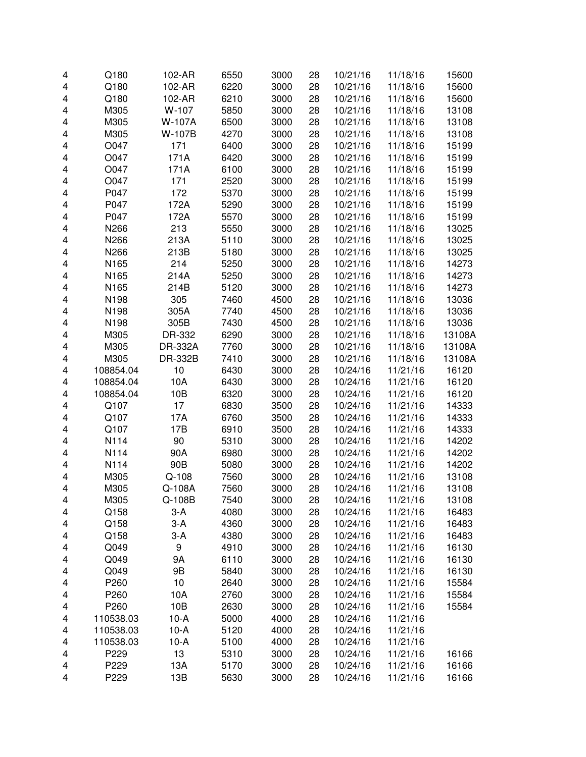| 4                       | Q180      | 102-AR   | 6550 | 3000 | 28 | 10/21/16 | 11/18/16 | 15600  |
|-------------------------|-----------|----------|------|------|----|----------|----------|--------|
| 4                       | Q180      | 102-AR   | 6220 | 3000 | 28 | 10/21/16 | 11/18/16 | 15600  |
| 4                       | Q180      | 102-AR   | 6210 | 3000 | 28 | 10/21/16 | 11/18/16 | 15600  |
| 4                       | M305      | W-107    | 5850 | 3000 | 28 | 10/21/16 | 11/18/16 | 13108  |
| 4                       | M305      | W-107A   | 6500 | 3000 | 28 | 10/21/16 | 11/18/16 | 13108  |
| 4                       | M305      | W-107B   | 4270 | 3000 | 28 | 10/21/16 | 11/18/16 | 13108  |
| 4                       | O047      | 171      | 6400 | 3000 | 28 | 10/21/16 | 11/18/16 | 15199  |
| 4                       | O047      | 171A     | 6420 | 3000 | 28 | 10/21/16 | 11/18/16 | 15199  |
| 4                       | O047      | 171A     | 6100 | 3000 | 28 | 10/21/16 | 11/18/16 | 15199  |
| 4                       | O047      | 171      | 2520 | 3000 | 28 | 10/21/16 | 11/18/16 | 15199  |
| 4                       | P047      | 172      | 5370 | 3000 | 28 | 10/21/16 | 11/18/16 | 15199  |
| 4                       | P047      | 172A     | 5290 | 3000 | 28 | 10/21/16 | 11/18/16 | 15199  |
| 4                       | P047      | 172A     | 5570 | 3000 | 28 | 10/21/16 | 11/18/16 | 15199  |
| 4                       | N266      | 213      | 5550 | 3000 | 28 | 10/21/16 | 11/18/16 | 13025  |
| $\overline{\mathbf{4}}$ | N266      | 213A     | 5110 | 3000 | 28 | 10/21/16 | 11/18/16 | 13025  |
| $\overline{\mathbf{4}}$ | N266      | 213B     | 5180 | 3000 | 28 | 10/21/16 | 11/18/16 | 13025  |
| 4                       | N165      | 214      | 5250 | 3000 | 28 | 10/21/16 | 11/18/16 | 14273  |
| 4                       | N165      | 214A     | 5250 | 3000 | 28 | 10/21/16 | 11/18/16 | 14273  |
| 4                       | N165      | 214B     | 5120 | 3000 | 28 | 10/21/16 | 11/18/16 | 14273  |
| 4                       | N198      | 305      | 7460 | 4500 | 28 | 10/21/16 | 11/18/16 | 13036  |
| 4                       | N198      | 305A     | 7740 | 4500 | 28 | 10/21/16 | 11/18/16 | 13036  |
| 4                       | N198      | 305B     | 7430 | 4500 | 28 | 10/21/16 | 11/18/16 | 13036  |
| 4                       | M305      | DR-332   | 6290 | 3000 | 28 | 10/21/16 | 11/18/16 | 13108A |
| 4                       | M305      | DR-332A  | 7760 | 3000 | 28 | 10/21/16 | 11/18/16 | 13108A |
| 4                       | M305      | DR-332B  | 7410 | 3000 | 28 | 10/21/16 | 11/18/16 | 13108A |
| 4                       | 108854.04 | 10       | 6430 | 3000 | 28 | 10/24/16 | 11/21/16 | 16120  |
| 4                       | 108854.04 | 10A      | 6430 | 3000 | 28 | 10/24/16 | 11/21/16 | 16120  |
| 4                       | 108854.04 | 10B      | 6320 | 3000 | 28 | 10/24/16 | 11/21/16 | 16120  |
| 4                       | Q107      | 17       | 6830 | 3500 | 28 | 10/24/16 | 11/21/16 | 14333  |
| 4                       | Q107      | 17A      | 6760 | 3500 | 28 | 10/24/16 | 11/21/16 | 14333  |
| 4                       | Q107      | 17B      | 6910 | 3500 | 28 | 10/24/16 | 11/21/16 | 14333  |
| $\overline{\mathbf{4}}$ | N114      | 90       | 5310 | 3000 | 28 | 10/24/16 | 11/21/16 | 14202  |
| $\overline{\mathbf{4}}$ | N114      | 90A      | 6980 | 3000 | 28 | 10/24/16 | 11/21/16 | 14202  |
| 4                       | N114      | 90B      | 5080 | 3000 | 28 | 10/24/16 | 11/21/16 | 14202  |
| 4                       | M305      | $Q-108$  | 7560 | 3000 | 28 | 10/24/16 | 11/21/16 | 13108  |
| 4                       | M305      | Q-108A   | 7560 | 3000 | 28 | 10/24/16 | 11/21/16 | 13108  |
| 4                       | M305      | $Q-108B$ | 7540 | 3000 | 28 | 10/24/16 | 11/21/16 | 13108  |
| 4                       | Q158      | $3-A$    | 4080 | 3000 | 28 | 10/24/16 | 11/21/16 | 16483  |
| 4                       | Q158      | $3-A$    | 4360 | 3000 | 28 | 10/24/16 | 11/21/16 | 16483  |
| 4                       | Q158      | $3-A$    | 4380 | 3000 | 28 | 10/24/16 | 11/21/16 | 16483  |
| 4                       | Q049      | 9        | 4910 | 3000 | 28 | 10/24/16 | 11/21/16 | 16130  |
| 4                       | Q049      | 9Α       | 6110 | 3000 | 28 | 10/24/16 | 11/21/16 | 16130  |
| 4                       | Q049      | 9B       | 5840 | 3000 | 28 | 10/24/16 | 11/21/16 | 16130  |
| 4                       | P260      | 10       | 2640 | 3000 | 28 | 10/24/16 | 11/21/16 | 15584  |
| 4                       | P260      | 10A      | 2760 | 3000 | 28 | 10/24/16 | 11/21/16 | 15584  |
| 4                       | P260      | 10B      | 2630 | 3000 | 28 | 10/24/16 | 11/21/16 | 15584  |
| 4                       | 110538.03 | $10-A$   | 5000 | 4000 | 28 | 10/24/16 | 11/21/16 |        |
| 4                       | 110538.03 | $10-A$   | 5120 | 4000 | 28 | 10/24/16 | 11/21/16 |        |
| 4                       | 110538.03 | $10-A$   | 5100 | 4000 | 28 | 10/24/16 | 11/21/16 |        |
| 4                       | P229      | 13       | 5310 | 3000 | 28 | 10/24/16 | 11/21/16 | 16166  |
| 4                       | P229      | 13A      | 5170 | 3000 | 28 | 10/24/16 | 11/21/16 | 16166  |
| 4                       | P229      | 13B      | 5630 | 3000 | 28 | 10/24/16 | 11/21/16 | 16166  |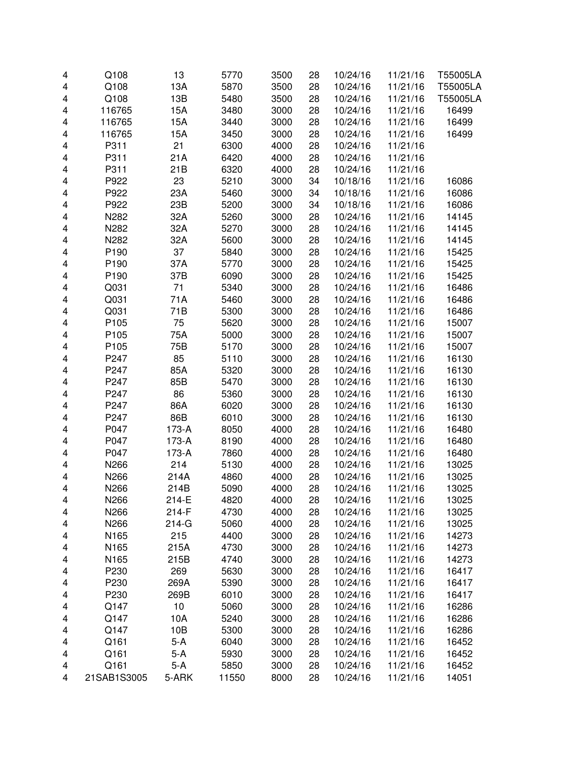| 4 | Q108        | 13      | 5770  | 3500 | 28 | 10/24/16 | 11/21/16 | T55005LA |
|---|-------------|---------|-------|------|----|----------|----------|----------|
| 4 | Q108        | 13A     | 5870  | 3500 | 28 | 10/24/16 | 11/21/16 | T55005LA |
| 4 | Q108        | 13B     | 5480  | 3500 | 28 | 10/24/16 | 11/21/16 | T55005LA |
| 4 | 116765      | 15A     | 3480  | 3000 | 28 | 10/24/16 | 11/21/16 | 16499    |
| 4 | 116765      | 15A     | 3440  | 3000 | 28 | 10/24/16 | 11/21/16 | 16499    |
| 4 | 116765      | 15A     | 3450  | 3000 | 28 | 10/24/16 | 11/21/16 | 16499    |
| 4 | P311        | 21      | 6300  | 4000 | 28 | 10/24/16 | 11/21/16 |          |
| 4 | P311        | 21A     | 6420  | 4000 | 28 | 10/24/16 | 11/21/16 |          |
| 4 | P311        | 21B     | 6320  | 4000 | 28 | 10/24/16 | 11/21/16 |          |
| 4 | P922        | 23      | 5210  | 3000 | 34 | 10/18/16 | 11/21/16 | 16086    |
| 4 | P922        | 23A     | 5460  | 3000 | 34 | 10/18/16 | 11/21/16 | 16086    |
| 4 | P922        | 23B     | 5200  | 3000 | 34 | 10/18/16 | 11/21/16 | 16086    |
| 4 | N282        | 32A     | 5260  | 3000 | 28 | 10/24/16 | 11/21/16 | 14145    |
| 4 | N282        | 32A     | 5270  | 3000 | 28 | 10/24/16 | 11/21/16 | 14145    |
| 4 | N282        | 32A     | 5600  | 3000 | 28 | 10/24/16 | 11/21/16 | 14145    |
| 4 | P190        | 37      | 5840  | 3000 | 28 | 10/24/16 | 11/21/16 | 15425    |
| 4 | P190        | 37A     | 5770  | 3000 | 28 | 10/24/16 | 11/21/16 | 15425    |
| 4 | P190        | 37B     | 6090  | 3000 | 28 | 10/24/16 | 11/21/16 | 15425    |
| 4 | Q031        | 71      | 5340  | 3000 | 28 | 10/24/16 | 11/21/16 | 16486    |
| 4 | Q031        | 71A     | 5460  | 3000 | 28 | 10/24/16 | 11/21/16 | 16486    |
| 4 | Q031        | 71B     | 5300  | 3000 | 28 | 10/24/16 | 11/21/16 | 16486    |
| 4 | P105        | 75      | 5620  | 3000 | 28 | 10/24/16 | 11/21/16 | 15007    |
| 4 | P105        | 75A     | 5000  | 3000 | 28 | 10/24/16 | 11/21/16 | 15007    |
| 4 | P105        | 75B     | 5170  | 3000 | 28 | 10/24/16 | 11/21/16 | 15007    |
| 4 | P247        | 85      | 5110  | 3000 | 28 | 10/24/16 | 11/21/16 | 16130    |
| 4 | P247        | 85A     | 5320  | 3000 | 28 | 10/24/16 | 11/21/16 | 16130    |
| 4 | P247        | 85B     | 5470  | 3000 | 28 | 10/24/16 | 11/21/16 | 16130    |
| 4 | P247        | 86      | 5360  | 3000 | 28 | 10/24/16 | 11/21/16 | 16130    |
| 4 | P247        | 86A     | 6020  | 3000 | 28 | 10/24/16 | 11/21/16 | 16130    |
| 4 | P247        | 86B     | 6010  | 3000 | 28 | 10/24/16 | 11/21/16 | 16130    |
| 4 | P047        | 173-A   | 8050  | 4000 | 28 | 10/24/16 | 11/21/16 | 16480    |
| 4 | P047        | 173-A   | 8190  | 4000 | 28 | 10/24/16 | 11/21/16 | 16480    |
| 4 | P047        | 173-A   | 7860  | 4000 | 28 | 10/24/16 | 11/21/16 | 16480    |
| 4 | N266        | 214     | 5130  | 4000 | 28 | 10/24/16 | 11/21/16 | 13025    |
| 4 | N266        | 214A    | 4860  | 4000 | 28 | 10/24/16 | 11/21/16 | 13025    |
| 4 | N266        | 214B    | 5090  | 4000 | 28 | 10/24/16 | 11/21/16 | 13025    |
| 4 | N266        | 214-E   | 4820  | 4000 | 28 | 10/24/16 | 11/21/16 | 13025    |
| 4 | N266        | 214-F   | 4730  | 4000 | 28 | 10/24/16 | 11/21/16 | 13025    |
| 4 | N266        | $214-G$ | 5060  | 4000 | 28 | 10/24/16 | 11/21/16 | 13025    |
| 4 | N165        | 215     | 4400  | 3000 | 28 | 10/24/16 | 11/21/16 | 14273    |
| 4 | N165        | 215A    | 4730  | 3000 | 28 | 10/24/16 | 11/21/16 | 14273    |
| 4 | N165        | 215B    | 4740  | 3000 | 28 | 10/24/16 | 11/21/16 | 14273    |
| 4 | P230        | 269     | 5630  | 3000 | 28 | 10/24/16 | 11/21/16 | 16417    |
| 4 | P230        | 269A    | 5390  | 3000 | 28 | 10/24/16 | 11/21/16 | 16417    |
| 4 | P230        | 269B    | 6010  | 3000 | 28 | 10/24/16 | 11/21/16 | 16417    |
| 4 | Q147        | 10      | 5060  | 3000 | 28 | 10/24/16 | 11/21/16 | 16286    |
| 4 | Q147        | 10A     | 5240  | 3000 | 28 | 10/24/16 | 11/21/16 | 16286    |
| 4 | Q147        | 10B     | 5300  | 3000 | 28 | 10/24/16 | 11/21/16 | 16286    |
| 4 | Q161        | $5-A$   | 6040  | 3000 | 28 | 10/24/16 | 11/21/16 | 16452    |
| 4 | Q161        | $5-A$   | 5930  | 3000 | 28 | 10/24/16 | 11/21/16 | 16452    |
| 4 | Q161        | $5-A$   | 5850  | 3000 | 28 | 10/24/16 | 11/21/16 | 16452    |
| 4 | 21SAB1S3005 | 5-ARK   | 11550 | 8000 | 28 | 10/24/16 | 11/21/16 | 14051    |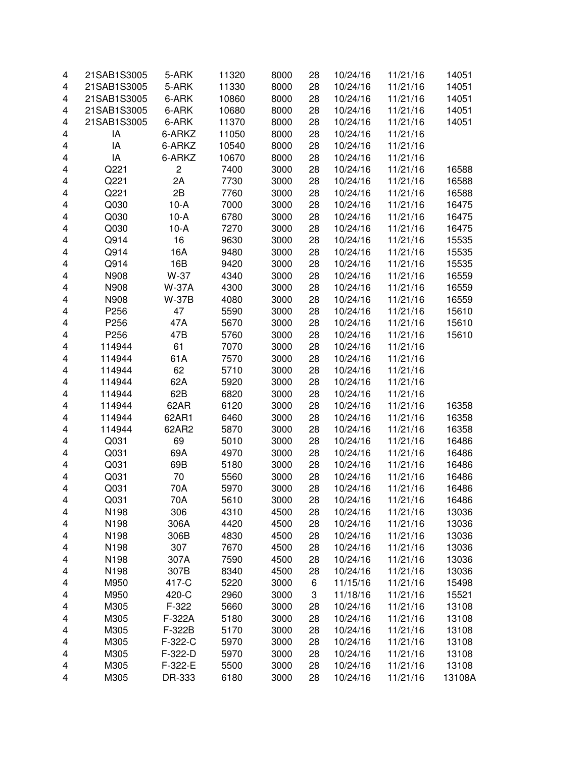| 4                       | 21SAB1S3005 | 5-ARK          | 11320 | 8000 | 28 | 10/24/16 | 11/21/16 | 14051  |
|-------------------------|-------------|----------------|-------|------|----|----------|----------|--------|
| $\overline{\mathbf{4}}$ | 21SAB1S3005 | 5-ARK          | 11330 | 8000 | 28 | 10/24/16 | 11/21/16 | 14051  |
| 4                       | 21SAB1S3005 | 6-ARK          | 10860 | 8000 | 28 | 10/24/16 | 11/21/16 | 14051  |
| 4                       | 21SAB1S3005 | 6-ARK          | 10680 | 8000 | 28 | 10/24/16 | 11/21/16 | 14051  |
| 4                       | 21SAB1S3005 | 6-ARK          | 11370 | 8000 | 28 | 10/24/16 | 11/21/16 | 14051  |
| 4                       | IA          | 6-ARKZ         | 11050 | 8000 | 28 | 10/24/16 | 11/21/16 |        |
| 4                       | IA          | 6-ARKZ         | 10540 | 8000 | 28 | 10/24/16 | 11/21/16 |        |
| 4                       | IA          | 6-ARKZ         | 10670 | 8000 | 28 | 10/24/16 | 11/21/16 |        |
| 4                       | Q221        | $\overline{c}$ | 7400  | 3000 | 28 | 10/24/16 | 11/21/16 | 16588  |
| 4                       | Q221        | 2A             | 7730  | 3000 | 28 | 10/24/16 | 11/21/16 | 16588  |
| 4                       | Q221        | 2B             | 7760  | 3000 | 28 | 10/24/16 | 11/21/16 | 16588  |
| $\overline{\mathbf{4}}$ | Q030        | $10-A$         | 7000  | 3000 | 28 | 10/24/16 | 11/21/16 | 16475  |
| 4                       | Q030        | $10-A$         | 6780  | 3000 | 28 | 10/24/16 | 11/21/16 | 16475  |
| 4                       | Q030        | $10-A$         | 7270  | 3000 | 28 | 10/24/16 | 11/21/16 | 16475  |
| 4                       | Q914        | 16             | 9630  | 3000 | 28 | 10/24/16 | 11/21/16 | 15535  |
| $\overline{\mathbf{4}}$ | Q914        | 16A            | 9480  | 3000 | 28 | 10/24/16 | 11/21/16 | 15535  |
| 4                       | Q914        | 16B            | 9420  | 3000 | 28 | 10/24/16 | 11/21/16 | 15535  |
| $\overline{\mathbf{4}}$ | N908        | W-37           | 4340  | 3000 | 28 | 10/24/16 | 11/21/16 | 16559  |
| 4                       | N908        | <b>W-37A</b>   | 4300  | 3000 | 28 | 10/24/16 | 11/21/16 | 16559  |
| $\overline{\mathbf{4}}$ | N908        | <b>W-37B</b>   | 4080  | 3000 | 28 | 10/24/16 | 11/21/16 | 16559  |
| 4                       | P256        | 47             | 5590  | 3000 | 28 | 10/24/16 | 11/21/16 | 15610  |
| 4                       | P256        | 47A            | 5670  | 3000 | 28 | 10/24/16 | 11/21/16 | 15610  |
| 4                       | P256        | 47B            | 5760  | 3000 | 28 | 10/24/16 | 11/21/16 | 15610  |
| 4                       | 114944      | 61             | 7070  | 3000 | 28 | 10/24/16 | 11/21/16 |        |
| 4                       | 114944      | 61A            | 7570  | 3000 | 28 | 10/24/16 | 11/21/16 |        |
| 4                       | 114944      | 62             | 5710  | 3000 | 28 | 10/24/16 | 11/21/16 |        |
| 4                       | 114944      | 62A            | 5920  | 3000 | 28 | 10/24/16 | 11/21/16 |        |
| 4                       | 114944      | 62B            | 6820  | 3000 | 28 | 10/24/16 | 11/21/16 |        |
| $\overline{\mathbf{4}}$ | 114944      | 62AR           | 6120  | 3000 | 28 | 10/24/16 | 11/21/16 | 16358  |
| 4                       | 114944      | 62AR1          | 6460  | 3000 | 28 | 10/24/16 | 11/21/16 |        |
|                         | 114944      | 62AR2          |       |      | 28 | 10/24/16 |          | 16358  |
| $\overline{\mathbf{4}}$ |             |                | 5870  | 3000 |    |          | 11/21/16 | 16358  |
| $\overline{\mathbf{4}}$ | Q031        | 69             | 5010  | 3000 | 28 | 10/24/16 | 11/21/16 | 16486  |
| $\overline{\mathbf{4}}$ | Q031        | 69A            | 4970  | 3000 | 28 | 10/24/16 | 11/21/16 | 16486  |
| 4                       | Q031        | 69B            | 5180  | 3000 | 28 | 10/24/16 | 11/21/16 | 16486  |
| 4                       | Q031        | 70             | 5560  | 3000 | 28 | 10/24/16 | 11/21/16 | 16486  |
| 4                       | Q031        | 70A            | 5970  | 3000 | 28 | 10/24/16 | 11/21/16 | 16486  |
| 4                       | Q031        | 70A            | 5610  | 3000 | 28 | 10/24/16 | 11/21/16 | 16486  |
| 4                       | N198        | 306            | 4310  | 4500 | 28 | 10/24/16 | 11/21/16 | 13036  |
| 4                       | N198        | 306A           | 4420  | 4500 | 28 | 10/24/16 | 11/21/16 | 13036  |
| 4                       | N198        | 306B           | 4830  | 4500 | 28 | 10/24/16 | 11/21/16 | 13036  |
| 4                       | N198        | 307            | 7670  | 4500 | 28 | 10/24/16 | 11/21/16 | 13036  |
| 4                       | N198        | 307A           | 7590  | 4500 | 28 | 10/24/16 | 11/21/16 | 13036  |
| 4                       | N198        | 307B           | 8340  | 4500 | 28 | 10/24/16 | 11/21/16 | 13036  |
| 4                       | M950        | 417-C          | 5220  | 3000 | 6  | 11/15/16 | 11/21/16 | 15498  |
| 4                       | M950        | 420-C          | 2960  | 3000 | 3  | 11/18/16 | 11/21/16 | 15521  |
| 4                       | M305        | F-322          | 5660  | 3000 | 28 | 10/24/16 | 11/21/16 | 13108  |
| 4                       | M305        | F-322A         | 5180  | 3000 | 28 | 10/24/16 | 11/21/16 | 13108  |
| 4                       | M305        | F-322B         | 5170  | 3000 | 28 | 10/24/16 | 11/21/16 | 13108  |
| 4                       | M305        | F-322-C        | 5970  | 3000 | 28 | 10/24/16 | 11/21/16 | 13108  |
| 4                       | M305        | F-322-D        | 5970  | 3000 | 28 | 10/24/16 | 11/21/16 | 13108  |
| 4                       | M305        | F-322-E        | 5500  | 3000 | 28 | 10/24/16 | 11/21/16 | 13108  |
| 4                       | M305        | DR-333         | 6180  | 3000 | 28 | 10/24/16 | 11/21/16 | 13108A |